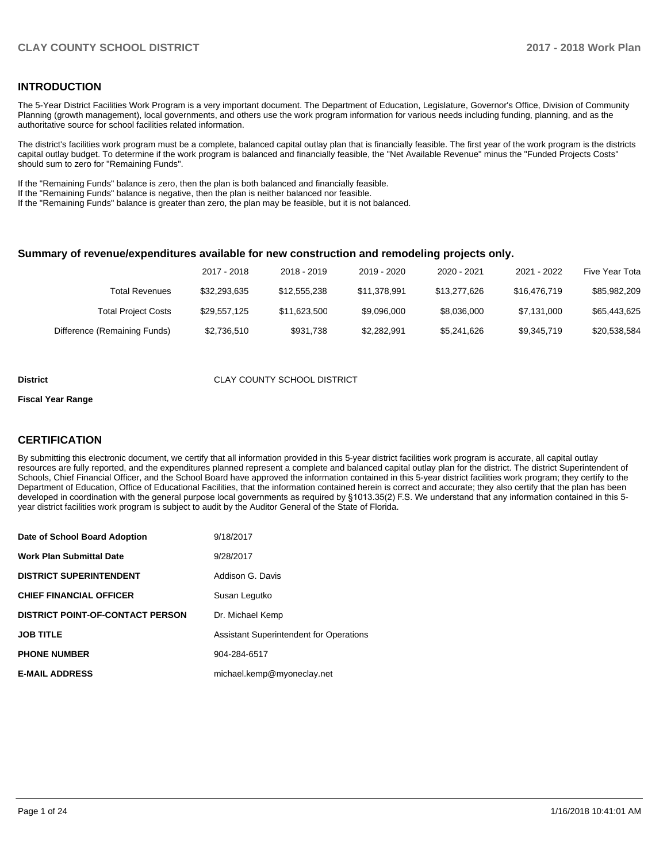## **INTRODUCTION**

The 5-Year District Facilities Work Program is a very important document. The Department of Education, Legislature, Governor's Office, Division of Community Planning (growth management), local governments, and others use the work program information for various needs including funding, planning, and as the authoritative source for school facilities related information.

The district's facilities work program must be a complete, balanced capital outlay plan that is financially feasible. The first year of the work program is the districts capital outlay budget. To determine if the work program is balanced and financially feasible, the "Net Available Revenue" minus the "Funded Projects Costs" should sum to zero for "Remaining Funds".

If the "Remaining Funds" balance is zero, then the plan is both balanced and financially feasible.

If the "Remaining Funds" balance is negative, then the plan is neither balanced nor feasible.

If the "Remaining Funds" balance is greater than zero, the plan may be feasible, but it is not balanced.

#### **Summary of revenue/expenditures available for new construction and remodeling projects only.**

| Five Year Tota | 2021 - 2022  | 2020 - 2021  | 2019 - 2020  | 2018 - 2019  | 2017 - 2018  |                              |
|----------------|--------------|--------------|--------------|--------------|--------------|------------------------------|
| \$85,982,209   | \$16,476,719 | \$13,277,626 | \$11.378.991 | \$12,555,238 | \$32,293,635 | Total Revenues               |
| \$65,443,625   | \$7,131,000  | \$8,036,000  | \$9,096,000  | \$11.623.500 | \$29,557,125 | <b>Total Project Costs</b>   |
| \$20,538,584   | \$9,345,719  | \$5,241,626  | \$2,282,991  | \$931.738    | \$2,736,510  | Difference (Remaining Funds) |

#### **District** CLAY COUNTY SCHOOL DISTRICT

#### **Fiscal Year Range**

## **CERTIFICATION**

By submitting this electronic document, we certify that all information provided in this 5-year district facilities work program is accurate, all capital outlay resources are fully reported, and the expenditures planned represent a complete and balanced capital outlay plan for the district. The district Superintendent of Schools, Chief Financial Officer, and the School Board have approved the information contained in this 5-year district facilities work program; they certify to the Department of Education, Office of Educational Facilities, that the information contained herein is correct and accurate; they also certify that the plan has been developed in coordination with the general purpose local governments as required by §1013.35(2) F.S. We understand that any information contained in this 5year district facilities work program is subject to audit by the Auditor General of the State of Florida.

| Date of School Board Adoption           | 9/18/2017                                      |
|-----------------------------------------|------------------------------------------------|
| Work Plan Submittal Date                | 9/28/2017                                      |
| <b>DISTRICT SUPERINTENDENT</b>          | Addison G. Davis                               |
| <b>CHIEF FINANCIAL OFFICER</b>          | Susan Legutko                                  |
| <b>DISTRICT POINT-OF-CONTACT PERSON</b> | Dr. Michael Kemp                               |
| JOB TITLE                               | <b>Assistant Superintendent for Operations</b> |
| <b>PHONE NUMBER</b>                     | 904-284-6517                                   |
| <b>E-MAIL ADDRESS</b>                   | michael.kemp@myoneclay.net                     |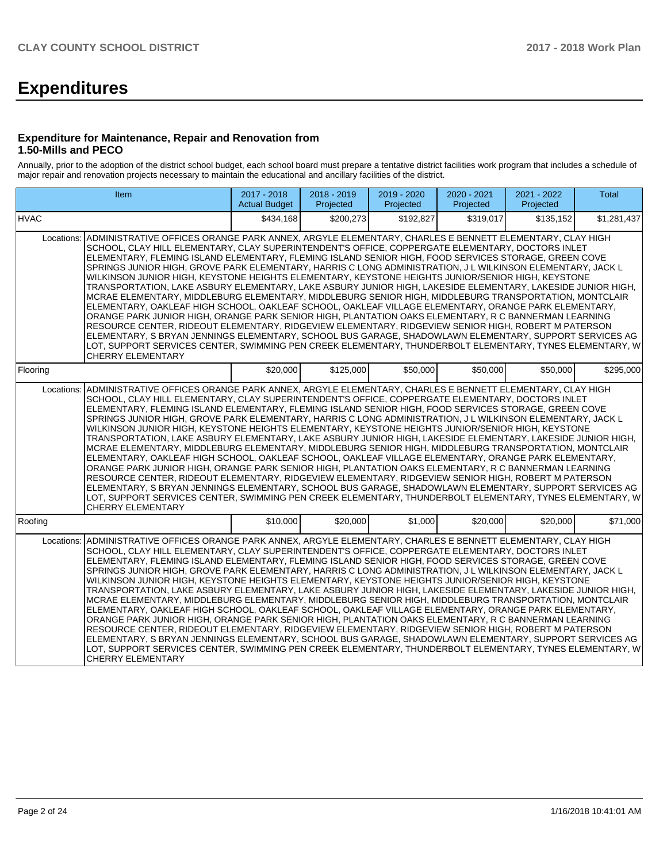# **Expenditures**

## **Expenditure for Maintenance, Repair and Renovation from 1.50-Mills and PECO**

Annually, prior to the adoption of the district school budget, each school board must prepare a tentative district facilities work program that includes a schedule of major repair and renovation projects necessary to maintain the educational and ancillary facilities of the district.

| Item                                                                                                                                                                                                                                                                                                                                                                                                                                                                                                                                                                                                                                                                                                                                                                                                                                                                                                                                                                                                                                                                                                                                                                                                                                                                                                                                                                                                                  |                                                                                                                                                                                                                                                                                                                                                                                                                                                                                                                                                                                                                                                                                                                                                                                                                                                                                                                                                                                                                                                                                                                                                                                                                                                                                                                        | 2017 - 2018<br><b>Actual Budget</b> | 2018 - 2019<br>Projected | 2019 - 2020<br>Projected | 2020 - 2021<br>Projected | 2021 - 2022<br>Projected | <b>Total</b> |  |
|-----------------------------------------------------------------------------------------------------------------------------------------------------------------------------------------------------------------------------------------------------------------------------------------------------------------------------------------------------------------------------------------------------------------------------------------------------------------------------------------------------------------------------------------------------------------------------------------------------------------------------------------------------------------------------------------------------------------------------------------------------------------------------------------------------------------------------------------------------------------------------------------------------------------------------------------------------------------------------------------------------------------------------------------------------------------------------------------------------------------------------------------------------------------------------------------------------------------------------------------------------------------------------------------------------------------------------------------------------------------------------------------------------------------------|------------------------------------------------------------------------------------------------------------------------------------------------------------------------------------------------------------------------------------------------------------------------------------------------------------------------------------------------------------------------------------------------------------------------------------------------------------------------------------------------------------------------------------------------------------------------------------------------------------------------------------------------------------------------------------------------------------------------------------------------------------------------------------------------------------------------------------------------------------------------------------------------------------------------------------------------------------------------------------------------------------------------------------------------------------------------------------------------------------------------------------------------------------------------------------------------------------------------------------------------------------------------------------------------------------------------|-------------------------------------|--------------------------|--------------------------|--------------------------|--------------------------|--------------|--|
| <b>HVAC</b>                                                                                                                                                                                                                                                                                                                                                                                                                                                                                                                                                                                                                                                                                                                                                                                                                                                                                                                                                                                                                                                                                                                                                                                                                                                                                                                                                                                                           |                                                                                                                                                                                                                                                                                                                                                                                                                                                                                                                                                                                                                                                                                                                                                                                                                                                                                                                                                                                                                                                                                                                                                                                                                                                                                                                        | \$434.168                           | \$200.273                | \$192.827                | \$319.017                | \$135.152                | \$1,281,437  |  |
| ADMINISTRATIVE OFFICES ORANGE PARK ANNEX, ARGYLE ELEMENTARY, CHARLES E BENNETT ELEMENTARY, CLAY HIGH<br>Locations:<br>SCHOOL, CLAY HILL ELEMENTARY, CLAY SUPERINTENDENT'S OFFICE, COPPERGATE ELEMENTARY, DOCTORS INLET<br>ELEMENTARY, FLEMING ISLAND ELEMENTARY, FLEMING ISLAND SENIOR HIGH, FOOD SERVICES STORAGE, GREEN COVE<br>SPRINGS JUNIOR HIGH, GROVE PARK ELEMENTARY, HARRIS C LONG ADMINISTRATION, J L WILKINSON ELEMENTARY, JACK L<br>WILKINSON JUNIOR HIGH, KEYSTONE HEIGHTS ELEMENTARY, KEYSTONE HEIGHTS JUNIOR/SENIOR HIGH, KEYSTONE<br>TRANSPORTATION. LAKE ASBURY ELEMENTARY. LAKE ASBURY JUNIOR HIGH. LAKESIDE ELEMENTARY. LAKESIDE JUNIOR HIGH.<br>MCRAE ELEMENTARY, MIDDLEBURG ELEMENTARY, MIDDLEBURG SENIOR HIGH, MIDDLEBURG TRANSPORTATION, MONTCLAIR<br>ELEMENTARY, OAKLEAF HIGH SCHOOL, OAKLEAF SCHOOL, OAKLEAF VILLAGE ELEMENTARY, ORANGE PARK ELEMENTARY,<br>ORANGE PARK JUNIOR HIGH, ORANGE PARK SENIOR HIGH, PLANTATION OAKS ELEMENTARY, R C BANNERMAN LEARNING<br>RESOURCE CENTER, RIDEOUT ELEMENTARY, RIDGEVIEW ELEMENTARY, RIDGEVIEW SENIOR HIGH, ROBERT M PATERSON<br>ELEMENTARY, S BRYAN JENNINGS ELEMENTARY, SCHOOL BUS GARAGE, SHADOWLAWN ELEMENTARY, SUPPORT SERVICES AG<br>LOT, SUPPORT SERVICES CENTER, SWIMMING PEN CREEK ELEMENTARY, THUNDERBOLT ELEMENTARY, TYNES ELEMENTARY, W<br>CHERRY ELEMENTARY<br>\$125,000<br>\$20,000<br>\$50,000<br>\$50,000<br>\$50,000<br>\$295,000 |                                                                                                                                                                                                                                                                                                                                                                                                                                                                                                                                                                                                                                                                                                                                                                                                                                                                                                                                                                                                                                                                                                                                                                                                                                                                                                                        |                                     |                          |                          |                          |                          |              |  |
| Flooring                                                                                                                                                                                                                                                                                                                                                                                                                                                                                                                                                                                                                                                                                                                                                                                                                                                                                                                                                                                                                                                                                                                                                                                                                                                                                                                                                                                                              |                                                                                                                                                                                                                                                                                                                                                                                                                                                                                                                                                                                                                                                                                                                                                                                                                                                                                                                                                                                                                                                                                                                                                                                                                                                                                                                        |                                     |                          |                          |                          |                          |              |  |
| <b>CHERRY ELEMENTARY</b>                                                                                                                                                                                                                                                                                                                                                                                                                                                                                                                                                                                                                                                                                                                                                                                                                                                                                                                                                                                                                                                                                                                                                                                                                                                                                                                                                                                              | ADMINISTRATIVE OFFICES ORANGE PARK ANNEX, ARGYLE ELEMENTARY, CHARLES E BENNETT ELEMENTARY, CLAY HIGH<br>Locations:<br>SCHOOL, CLAY HILL ELEMENTARY, CLAY SUPERINTENDENT'S OFFICE, COPPERGATE ELEMENTARY, DOCTORS INLET<br>ELEMENTARY, FLEMING ISLAND ELEMENTARY, FLEMING ISLAND SENIOR HIGH, FOOD SERVICES STORAGE, GREEN COVE<br>SPRINGS JUNIOR HIGH, GROVE PARK ELEMENTARY, HARRIS C LONG ADMINISTRATION, J L WILKINSON ELEMENTARY, JACK L<br>WILKINSON JUNIOR HIGH, KEYSTONE HEIGHTS ELEMENTARY, KEYSTONE HEIGHTS JUNIOR/SENIOR HIGH, KEYSTONE<br>TRANSPORTATION, LAKE ASBURY ELEMENTARY, LAKE ASBURY JUNIOR HIGH, LAKESIDE ELEMENTARY, LAKESIDE JUNIOR HIGH,<br>MCRAE ELEMENTARY, MIDDLEBURG ELEMENTARY, MIDDLEBURG SENIOR HIGH, MIDDLEBURG TRANSPORTATION, MONTCLAIR<br>ELEMENTARY, OAKLEAF HIGH SCHOOL, OAKLEAF SCHOOL, OAKLEAF VILLAGE ELEMENTARY, ORANGE PARK ELEMENTARY,<br>ORANGE PARK JUNIOR HIGH, ORANGE PARK SENIOR HIGH, PLANTATION OAKS ELEMENTARY, R C BANNERMAN LEARNING<br>RESOURCE CENTER, RIDEOUT ELEMENTARY, RIDGEVIEW ELEMENTARY, RIDGEVIEW SENIOR HIGH, ROBERT M PATERSON<br>ELEMENTARY, S BRYAN JENNINGS ELEMENTARY, SCHOOL BUS GARAGE, SHADOWLAWN ELEMENTARY, SUPPORT SERVICES AG<br>LOT, SUPPORT SERVICES CENTER, SWIMMING PEN CREEK ELEMENTARY, THUNDERBOLT ELEMENTARY, TYNES ELEMENTARY, W |                                     |                          |                          |                          |                          |              |  |
| Roofing                                                                                                                                                                                                                                                                                                                                                                                                                                                                                                                                                                                                                                                                                                                                                                                                                                                                                                                                                                                                                                                                                                                                                                                                                                                                                                                                                                                                               |                                                                                                                                                                                                                                                                                                                                                                                                                                                                                                                                                                                                                                                                                                                                                                                                                                                                                                                                                                                                                                                                                                                                                                                                                                                                                                                        | \$10,000                            | \$20,000                 | \$1,000                  | \$20,000                 | \$20,000                 | \$71,000     |  |
| Locations:<br>ADMINISTRATIVE OFFICES ORANGE PARK ANNEX, ARGYLE ELEMENTARY, CHARLES E BENNETT ELEMENTARY, CLAY HIGH<br>SCHOOL, CLAY HILL ELEMENTARY, CLAY SUPERINTENDENT'S OFFICE, COPPERGATE ELEMENTARY, DOCTORS INLET<br>WILKINSON JUNIOR HIGH, KEYSTONE HEIGHTS ELEMENTARY, KEYSTONE HEIGHTS JUNIOR/SENIOR HIGH, KEYSTONE<br>MCRAE ELEMENTARY, MIDDLEBURG ELEMENTARY, MIDDLEBURG SENIOR HIGH, MIDDLEBURG TRANSPORTATION, MONTCLAIR<br>ELEMENTARY, S BRYAN JENNINGS ELEMENTARY, SCHOOL BUS GARAGE, SHADOWLAWN ELEMENTARY, SUPPORT SERVICES AG<br><b>CHERRY ELEMENTARY</b>                                                                                                                                                                                                                                                                                                                                                                                                                                                                                                                                                                                                                                                                                                                                                                                                                                            | ELEMENTARY, FLEMING ISLAND ELEMENTARY, FLEMING ISLAND SENIOR HIGH, FOOD SERVICES STORAGE, GREEN COVE<br>SPRINGS JUNIOR HIGH, GROVE PARK ELEMENTARY, HARRIS C LONG ADMINISTRATION, J L WILKINSON ELEMENTARY, JACK L<br>TRANSPORTATION, LAKE ASBURY ELEMENTARY, LAKE ASBURY JUNIOR HIGH, LAKESIDE ELEMENTARY, LAKESIDE JUNIOR HIGH,<br>ELEMENTARY, OAKLEAF HIGH SCHOOL, OAKLEAF SCHOOL, OAKLEAF VILLAGE ELEMENTARY, ORANGE PARK ELEMENTARY,<br>ORANGE PARK JUNIOR HIGH, ORANGE PARK SENIOR HIGH, PLANTATION OAKS ELEMENTARY, R C BANNERMAN LEARNING<br>RESOURCE CENTER, RIDEOUT ELEMENTARY, RIDGEVIEW ELEMENTARY, RIDGEVIEW SENIOR HIGH, ROBERT M PATERSON<br>LOT, SUPPORT SERVICES CENTER, SWIMMING PEN CREEK ELEMENTARY, THUNDERBOLT ELEMENTARY, TYNES ELEMENTARY, W                                                                                                                                                                                                                                                                                                                                                                                                                                                                                                                                                   |                                     |                          |                          |                          |                          |              |  |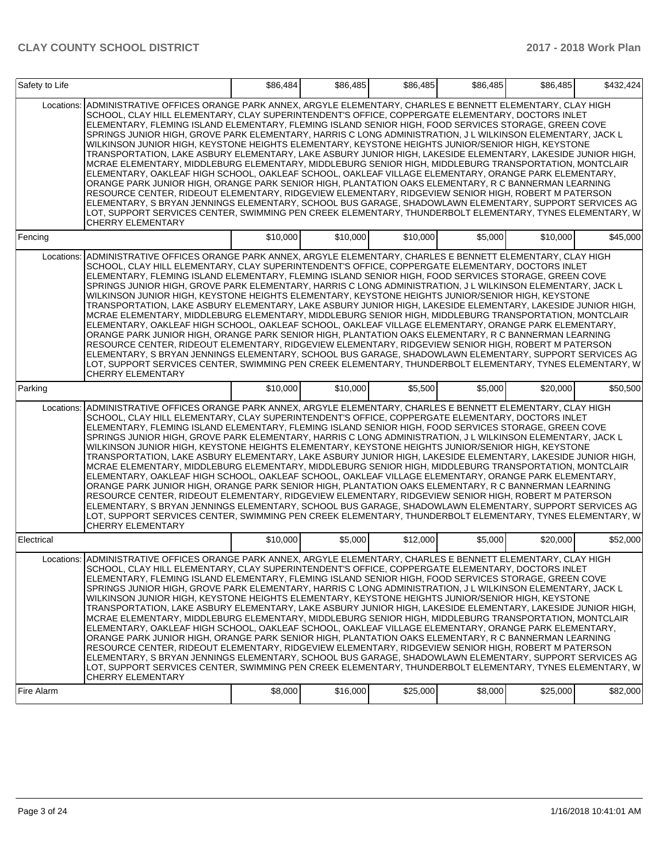| Safety to Life |                                                                                                                                                                                                                                                                                                                                                                                                                                                                                                                                                                                                                                                                                                                                                                                                                                                                                                                                                                                                                                                                                                                                                                                                                                                                                                                                                 | \$86,484 | \$86,485 | \$86,485 | \$86,485 | \$86,485 | \$432,424 |
|----------------|-------------------------------------------------------------------------------------------------------------------------------------------------------------------------------------------------------------------------------------------------------------------------------------------------------------------------------------------------------------------------------------------------------------------------------------------------------------------------------------------------------------------------------------------------------------------------------------------------------------------------------------------------------------------------------------------------------------------------------------------------------------------------------------------------------------------------------------------------------------------------------------------------------------------------------------------------------------------------------------------------------------------------------------------------------------------------------------------------------------------------------------------------------------------------------------------------------------------------------------------------------------------------------------------------------------------------------------------------|----------|----------|----------|----------|----------|-----------|
| Locations:     | ADMINISTRATIVE OFFICES ORANGE PARK ANNEX, ARGYLE ELEMENTARY, CHARLES E BENNETT ELEMENTARY, CLAY HIGH<br>SCHOOL, CLAY HILL ELEMENTARY, CLAY SUPERINTENDENT'S OFFICE, COPPERGATE ELEMENTARY, DOCTORS INLET<br>ELEMENTARY, FLEMING ISLAND ELEMENTARY, FLEMING ISLAND SENIOR HIGH, FOOD SERVICES STORAGE, GREEN COVE<br>SPRINGS JUNIOR HIGH, GROVE PARK ELEMENTARY, HARRIS C LONG ADMINISTRATION, J L WILKINSON ELEMENTARY, JACK L<br>WILKINSON JUNIOR HIGH, KEYSTONE HEIGHTS ELEMENTARY, KEYSTONE HEIGHTS JUNIOR/SENIOR HIGH, KEYSTONE<br>TRANSPORTATION, LAKE ASBURY ELEMENTARY, LAKE ASBURY JUNIOR HIGH, LAKESIDE ELEMENTARY, LAKESIDE JUNIOR HIGH,<br>MCRAE ELEMENTARY, MIDDLEBURG ELEMENTARY, MIDDLEBURG SENIOR HIGH, MIDDLEBURG TRANSPORTATION, MONTCLAIR<br>ELEMENTARY, OAKLEAF HIGH SCHOOL, OAKLEAF SCHOOL, OAKLEAF VILLAGE ELEMENTARY, ORANGE PARK ELEMENTARY,<br>ORANGE PARK JUNIOR HIGH, ORANGE PARK SENIOR HIGH, PLANTATION OAKS ELEMENTARY, R C BANNERMAN LEARNING<br>RESOURCE CENTER, RIDEOUT ELEMENTARY, RIDGEVIEW ELEMENTARY, RIDGEVIEW SENIOR HIGH, ROBERT M PATERSON<br>ELEMENTARY, S BRYAN JENNINGS ELEMENTARY, SCHOOL BUS GARAGE, SHADOWLAWN ELEMENTARY, SUPPORT SERVICES AG<br>LOT, SUPPORT SERVICES CENTER, SWIMMING PEN CREEK ELEMENTARY, THUNDERBOLT ELEMENTARY, TYNES ELEMENTARY, W<br><b>CHERRY ELEMENTARY</b>            |          |          |          |          |          |           |
| Fencing        |                                                                                                                                                                                                                                                                                                                                                                                                                                                                                                                                                                                                                                                                                                                                                                                                                                                                                                                                                                                                                                                                                                                                                                                                                                                                                                                                                 | \$10,000 | \$10,000 | \$10,000 | \$5.000  | \$10,000 | \$45,000  |
| Locations:     | ADMINISTRATIVE OFFICES ORANGE PARK ANNEX, ARGYLE ELEMENTARY, CHARLES E BENNETT ELEMENTARY, CLAY HIGH<br>SCHOOL, CLAY HILL ELEMENTARY, CLAY SUPERINTENDENT'S OFFICE, COPPERGATE ELEMENTARY, DOCTORS INLET<br>ELEMENTARY, FLEMING ISLAND ELEMENTARY, FLEMING ISLAND SENIOR HIGH, FOOD SERVICES STORAGE, GREEN COVE<br>SPRINGS JUNIOR HIGH, GROVE PARK ELEMENTARY, HARRIS C LONG ADMINISTRATION, J L WILKINSON ELEMENTARY, JACK L<br>WILKINSON JUNIOR HIGH, KEYSTONE HEIGHTS ELEMENTARY, KEYSTONE HEIGHTS JUNIOR/SENIOR HIGH, KEYSTONE<br>TRANSPORTATION, LAKE ASBURY ELEMENTARY, LAKE ASBURY JUNIOR HIGH, LAKESIDE ELEMENTARY, LAKESIDE JUNIOR HIGH,<br>MCRAE ELEMENTARY, MIDDLEBURG ELEMENTARY, MIDDLEBURG SENIOR HIGH, MIDDLEBURG TRANSPORTATION, MONTCLAIR<br>ELEMENTARY, OAKLEAF HIGH SCHOOL, OAKLEAF SCHOOL, OAKLEAF VILLAGE ELEMENTARY, ORANGE PARK ELEMENTARY,<br>ORANGE PARK JUNIOR HIGH, ORANGE PARK SENIOR HIGH, PLANTATION OAKS ELEMENTARY, R C BANNERMAN LEARNING<br>RESOURCE CENTER, RIDEOUT ELEMENTARY, RIDGEVIEW ELEMENTARY, RIDGEVIEW SENIOR HIGH, ROBERT M PATERSON<br>ELEMENTARY, S BRYAN JENNINGS ELEMENTARY, SCHOOL BUS GARAGE, SHADOWLAWN ELEMENTARY, SUPPORT SERVICES AG<br>LOT, SUPPORT SERVICES CENTER, SWIMMING PEN CREEK ELEMENTARY, THUNDERBOLT ELEMENTARY, TYNES ELEMENTARY, W<br><b>CHERRY ELEMENTARY</b>            |          |          |          |          |          |           |
| Parking        |                                                                                                                                                                                                                                                                                                                                                                                                                                                                                                                                                                                                                                                                                                                                                                                                                                                                                                                                                                                                                                                                                                                                                                                                                                                                                                                                                 | \$10,000 | \$10,000 | \$5,500  | \$5,000  | \$20,000 | \$50,500  |
| Locations:     | ADMINISTRATIVE OFFICES ORANGE PARK ANNEX, ARGYLE ELEMENTARY, CHARLES E BENNETT ELEMENTARY, CLAY HIGH<br>SCHOOL, CLAY HILL ELEMENTARY, CLAY SUPERINTENDENT'S OFFICE, COPPERGATE ELEMENTARY, DOCTORS INLET<br>ELEMENTARY, FLEMING ISLAND ELEMENTARY, FLEMING ISLAND SENIOR HIGH, FOOD SERVICES STORAGE, GREEN COVE<br>SPRINGS JUNIOR HIGH, GROVE PARK ELEMENTARY, HARRIS C LONG ADMINISTRATION, J L WILKINSON ELEMENTARY, JACK L<br>WILKINSON JUNIOR HIGH, KEYSTONE HEIGHTS ELEMENTARY, KEYSTONE HEIGHTS JUNIOR/SENIOR HIGH, KEYSTONE<br>TRANSPORTATION, LAKE ASBURY ELEMENTARY, LAKE ASBURY JUNIOR HIGH, LAKESIDE ELEMENTARY, LAKESIDE JUNIOR HIGH,<br>MCRAE ELEMENTARY, MIDDLEBURG ELEMENTARY, MIDDLEBURG SENIOR HIGH, MIDDLEBURG TRANSPORTATION, MONTCLAIR<br>ELEMENTARY, OAKLEAF HIGH SCHOOL, OAKLEAF SCHOOL, OAKLEAF VILLAGE ELEMENTARY, ORANGE PARK ELEMENTARY,<br>ORANGE PARK JUNIOR HIGH, ORANGE PARK SENIOR HIGH, PLANTATION OAKS ELEMENTARY, R C BANNERMAN LEARNING<br>RESOURCE CENTER, RIDEOUT ELEMENTARY, RIDGEVIEW ELEMENTARY, RIDGEVIEW SENIOR HIGH, ROBERT M PATERSON<br>ELEMENTARY, S BRYAN JENNINGS ELEMENTARY, SCHOOL BUS GARAGE, SHADOWLAWN ELEMENTARY, SUPPORT SERVICES AG<br>LOT, SUPPORT SERVICES CENTER, SWIMMING PEN CREEK ELEMENTARY, THUNDERBOLT ELEMENTARY, TYNES ELEMENTARY, W<br><b>CHERRY ELEMENTARY</b>            |          |          |          |          |          |           |
| Electrical     |                                                                                                                                                                                                                                                                                                                                                                                                                                                                                                                                                                                                                                                                                                                                                                                                                                                                                                                                                                                                                                                                                                                                                                                                                                                                                                                                                 | \$10,000 | \$5,000  | \$12,000 | \$5,000  | \$20,000 | \$52,000  |
|                | Locations: ADMINISTRATIVE OFFICES ORANGE PARK ANNEX, ARGYLE ELEMENTARY, CHARLES E BENNETT ELEMENTARY, CLAY HIGH<br>SCHOOL, CLAY HILL ELEMENTARY, CLAY SUPERINTENDENT'S OFFICE, COPPERGATE ELEMENTARY, DOCTORS INLET<br>ELEMENTARY, FLEMING ISLAND ELEMENTARY, FLEMING ISLAND SENIOR HIGH, FOOD SERVICES STORAGE, GREEN COVE<br>SPRINGS JUNIOR HIGH, GROVE PARK ELEMENTARY, HARRIS C LONG ADMINISTRATION, J L WILKINSON ELEMENTARY, JACK L<br>WILKINSON JUNIOR HIGH, KEYSTONE HEIGHTS ELEMENTARY, KEYSTONE HEIGHTS JUNIOR/SENIOR HIGH, KEYSTONE<br>TRANSPORTATION, LAKE ASBURY ELEMENTARY, LAKE ASBURY JUNIOR HIGH, LAKESIDE ELEMENTARY, LAKESIDE JUNIOR HIGH,<br>MCRAE ELEMENTARY, MIDDLEBURG ELEMENTARY, MIDDLEBURG SENIOR HIGH, MIDDLEBURG TRANSPORTATION, MONTCLAIR<br>ELEMENTARY, OAKLEAF HIGH SCHOOL, OAKLEAF SCHOOL, OAKLEAF VILLAGE ELEMENTARY, ORANGE PARK ELEMENTARY,<br>ORANGE PARK JUNIOR HIGH, ORANGE PARK SENIOR HIGH, PLANTATION OAKS ELEMENTARY, R C BANNERMAN LEARNING<br>RESOURCE CENTER, RIDEOUT ELEMENTARY, RIDGEVIEW ELEMENTARY, RIDGEVIEW SENIOR HIGH, ROBERT M PATERSON<br>ELEMENTARY, S BRYAN JENNINGS ELEMENTARY, SCHOOL BUS GARAGE, SHADOWLAWN ELEMENTARY, SUPPORT SERVICES AG<br>LOT, SUPPORT SERVICES CENTER, SWIMMING PEN CREEK ELEMENTARY, THUNDERBOLT ELEMENTARY, TYNES ELEMENTARY, W<br><b>CHERRY ELEMENTARY</b> |          |          |          |          |          |           |
| Fire Alarm     |                                                                                                                                                                                                                                                                                                                                                                                                                                                                                                                                                                                                                                                                                                                                                                                                                                                                                                                                                                                                                                                                                                                                                                                                                                                                                                                                                 | \$8,000  | \$16,000 | \$25,000 | \$8,000  | \$25,000 | \$82,000  |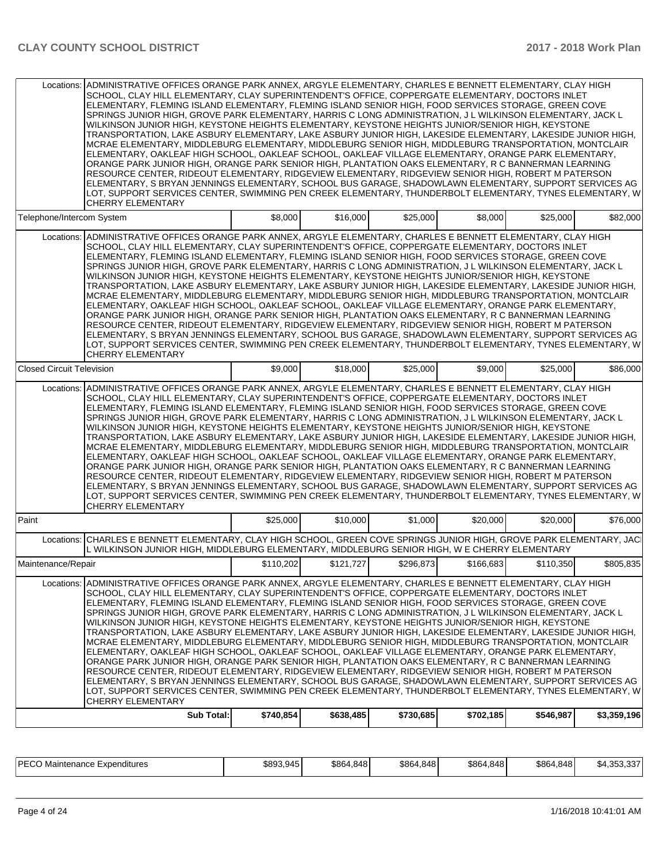| Locations: ADMINISTRATIVE OFFICES ORANGE PARK ANNEX, ARGYLE ELEMENTARY, CHARLES E BENNETT ELEMENTARY, CLAY HIGH<br>SCHOOL, CLAY HILL ELEMENTARY, CLAY SUPERINTENDENT'S OFFICE, COPPERGATE ELEMENTARY, DOCTORS INLET<br>ELEMENTARY, FLEMING ISLAND ELEMENTARY, FLEMING ISLAND SENIOR HIGH, FOOD SERVICES STORAGE, GREEN COVE<br>SPRINGS JUNIOR HIGH, GROVE PARK ELEMENTARY, HARRIS C LONG ADMINISTRATION, J L WILKINSON ELEMENTARY, JACK L<br>WILKINSON JUNIOR HIGH, KEYSTONE HEIGHTS ELEMENTARY, KEYSTONE HEIGHTS JUNIOR/SENIOR HIGH, KEYSTONE<br>TRANSPORTATION, LAKE ASBURY ELEMENTARY, LAKE ASBURY JUNIOR HIGH, LAKESIDE ELEMENTARY, LAKESIDE JUNIOR HIGH,<br>MCRAE ELEMENTARY, MIDDLEBURG ELEMENTARY, MIDDLEBURG SENIOR HIGH, MIDDLEBURG TRANSPORTATION, MONTCLAIR<br>ELEMENTARY, OAKLEAF HIGH SCHOOL, OAKLEAF SCHOOL, OAKLEAF VILLAGE ELEMENTARY, ORANGE PARK ELEMENTARY,<br>ORANGE PARK JUNIOR HIGH, ORANGE PARK SENIOR HIGH, PLANTATION OAKS ELEMENTARY, R C BANNERMAN LEARNING<br>RESOURCE CENTER, RIDEOUT ELEMENTARY, RIDGEVIEW ELEMENTARY, RIDGEVIEW SENIOR HIGH, ROBERT M PATERSON<br>ELEMENTARY, S BRYAN JENNINGS ELEMENTARY, SCHOOL BUS GARAGE, SHADOWLAWN ELEMENTARY, SUPPORT SERVICES AG<br>LOT, SUPPORT SERVICES CENTER, SWIMMING PEN CREEK ELEMENTARY, THUNDERBOLT ELEMENTARY, TYNES ELEMENTARY, W<br><b>CHERRY ELEMENTARY</b>    |           |           |           |           |           |             |
|----------------------------------------------------------------------------------------------------------------------------------------------------------------------------------------------------------------------------------------------------------------------------------------------------------------------------------------------------------------------------------------------------------------------------------------------------------------------------------------------------------------------------------------------------------------------------------------------------------------------------------------------------------------------------------------------------------------------------------------------------------------------------------------------------------------------------------------------------------------------------------------------------------------------------------------------------------------------------------------------------------------------------------------------------------------------------------------------------------------------------------------------------------------------------------------------------------------------------------------------------------------------------------------------------------------------------------------------------|-----------|-----------|-----------|-----------|-----------|-------------|
| Telephone/Intercom System                                                                                                                                                                                                                                                                                                                                                                                                                                                                                                                                                                                                                                                                                                                                                                                                                                                                                                                                                                                                                                                                                                                                                                                                                                                                                                                          | \$8,000   | \$16,000  | \$25,000  | \$8,000   | \$25,000  | \$82,000    |
| ADMINISTRATIVE OFFICES ORANGE PARK ANNEX, ARGYLE ELEMENTARY, CHARLES E BENNETT ELEMENTARY, CLAY HIGH<br>Locations:<br>SCHOOL, CLAY HILL ELEMENTARY, CLAY SUPERINTENDENT'S OFFICE, COPPERGATE ELEMENTARY, DOCTORS INLET<br>ELEMENTARY, FLEMING ISLAND ELEMENTARY, FLEMING ISLAND SENIOR HIGH, FOOD SERVICES STORAGE, GREEN COVE<br>SPRINGS JUNIOR HIGH, GROVE PARK ELEMENTARY, HARRIS C LONG ADMINISTRATION, J L WILKINSON ELEMENTARY, JACK L<br>WILKINSON JUNIOR HIGH, KEYSTONE HEIGHTS ELEMENTARY, KEYSTONE HEIGHTS JUNIOR/SENIOR HIGH, KEYSTONE<br>TRANSPORTATION, LAKE ASBURY ELEMENTARY, LAKE ASBURY JUNIOR HIGH, LAKESIDE ELEMENTARY, LAKESIDE JUNIOR HIGH,<br>MCRAE ELEMENTARY. MIDDLEBURG ELEMENTARY. MIDDLEBURG SENIOR HIGH. MIDDLEBURG TRANSPORTATION. MONTCLAIR<br>ELEMENTARY, OAKLEAF HIGH SCHOOL, OAKLEAF SCHOOL, OAKLEAF VILLAGE ELEMENTARY, ORANGE PARK ELEMENTARY,<br>ORANGE PARK JUNIOR HIGH, ORANGE PARK SENIOR HIGH, PLANTATION OAKS ELEMENTARY, R C BANNERMAN LEARNING<br>RESOURCE CENTER, RIDEOUT ELEMENTARY, RIDGEVIEW ELEMENTARY, RIDGEVIEW SENIOR HIGH, ROBERT M PATERSON<br>ELEMENTARY, S BRYAN JENNINGS ELEMENTARY, SCHOOL BUS GARAGE, SHADOWLAWN ELEMENTARY, SUPPORT SERVICES AG<br>LOT, SUPPORT SERVICES CENTER, SWIMMING PEN CREEK ELEMENTARY, THUNDERBOLT ELEMENTARY, TYNES ELEMENTARY, W<br><b>CHERRY ELEMENTARY</b> |           |           |           |           |           |             |
| <b>Closed Circuit Television</b>                                                                                                                                                                                                                                                                                                                                                                                                                                                                                                                                                                                                                                                                                                                                                                                                                                                                                                                                                                                                                                                                                                                                                                                                                                                                                                                   | \$9,000   | \$18,000  | \$25,000  | \$9,000   | \$25,000  | \$86,000    |
| Locations: ADMINISTRATIVE OFFICES ORANGE PARK ANNEX, ARGYLE ELEMENTARY, CHARLES E BENNETT ELEMENTARY, CLAY HIGH<br>SCHOOL, CLAY HILL ELEMENTARY, CLAY SUPERINTENDENT'S OFFICE, COPPERGATE ELEMENTARY, DOCTORS INLET<br>ELEMENTARY, FLEMING ISLAND ELEMENTARY, FLEMING ISLAND SENIOR HIGH, FOOD SERVICES STORAGE, GREEN COVE<br>SPRINGS JUNIOR HIGH, GROVE PARK ELEMENTARY, HARRIS C LONG ADMINISTRATION, J L WILKINSON ELEMENTARY, JACK L<br>WILKINSON JUNIOR HIGH, KEYSTONE HEIGHTS ELEMENTARY, KEYSTONE HEIGHTS JUNIOR/SENIOR HIGH, KEYSTONE<br>TRANSPORTATION, LAKE ASBURY ELEMENTARY, LAKE ASBURY JUNIOR HIGH, LAKESIDE ELEMENTARY, LAKESIDE JUNIOR HIGH,<br>MCRAE ELEMENTARY, MIDDLEBURG ELEMENTARY, MIDDLEBURG SENIOR HIGH, MIDDLEBURG TRANSPORTATION, MONTCLAIR<br>ELEMENTARY, OAKLEAF HIGH SCHOOL, OAKLEAF SCHOOL, OAKLEAF VILLAGE ELEMENTARY, ORANGE PARK ELEMENTARY,<br>ORANGE PARK JUNIOR HIGH, ORANGE PARK SENIOR HIGH, PLANTATION OAKS ELEMENTARY, R C BANNERMAN LEARNING<br>RESOURCE CENTER, RIDEOUT ELEMENTARY, RIDGEVIEW ELEMENTARY, RIDGEVIEW SENIOR HIGH, ROBERT M PATERSON<br>ELEMENTARY, S BRYAN JENNINGS ELEMENTARY, SCHOOL BUS GARAGE, SHADOWLAWN ELEMENTARY, SUPPORT SERVICES AG<br>LOT, SUPPORT SERVICES CENTER, SWIMMING PEN CREEK ELEMENTARY, THUNDERBOLT ELEMENTARY, TYNES ELEMENTARY, W<br>CHERRY ELEMENTARY           |           |           |           |           |           |             |
| Paint                                                                                                                                                                                                                                                                                                                                                                                                                                                                                                                                                                                                                                                                                                                                                                                                                                                                                                                                                                                                                                                                                                                                                                                                                                                                                                                                              | \$25,000  | \$10,000  | \$1,000   | \$20,000  | \$20,000  | \$76,000    |
| Locations: CHARLES E BENNETT ELEMENTARY, CLAY HIGH SCHOOL, GREEN COVE SPRINGS JUNIOR HIGH, GROVE PARK ELEMENTARY, JAC<br>L WILKINSON JUNIOR HIGH, MIDDLEBURG ELEMENTARY, MIDDLEBURG SENIOR HIGH, W E CHERRY ELEMENTARY                                                                                                                                                                                                                                                                                                                                                                                                                                                                                                                                                                                                                                                                                                                                                                                                                                                                                                                                                                                                                                                                                                                             |           |           |           |           |           |             |
| Maintenance/Repair                                                                                                                                                                                                                                                                                                                                                                                                                                                                                                                                                                                                                                                                                                                                                                                                                                                                                                                                                                                                                                                                                                                                                                                                                                                                                                                                 | \$110,202 | \$121,727 | \$296,873 | \$166,683 | \$110,350 | \$805,835   |
| ADMINISTRATIVE OFFICES ORANGE PARK ANNEX, ARGYLE ELEMENTARY, CHARLES E BENNETT ELEMENTARY, CLAY HIGH<br>Locations:<br>SCHOOL, CLAY HILL ELEMENTARY, CLAY SUPERINTENDENT'S OFFICE, COPPERGATE ELEMENTARY, DOCTORS INLET<br>ELEMENTARY, FLEMING ISLAND ELEMENTARY, FLEMING ISLAND SENIOR HIGH, FOOD SERVICES STORAGE, GREEN COVE<br>SPRINGS JUNIOR HIGH, GROVE PARK ELEMENTARY, HARRIS C LONG ADMINISTRATION, J L WILKINSON ELEMENTARY, JACK L<br>WILKINSON JUNIOR HIGH, KEYSTONE HEIGHTS ELEMENTARY, KEYSTONE HEIGHTS JUNIOR/SENIOR HIGH, KEYSTONE<br>TRANSPORTATION, LAKE ASBURY ELEMENTARY, LAKE ASBURY JUNIOR HIGH, LAKESIDE ELEMENTARY, LAKESIDE JUNIOR HIGH,<br>MCRAE ELEMENTARY, MIDDLEBURG ELEMENTARY, MIDDLEBURG SENIOR HIGH, MIDDLEBURG TRANSPORTATION, MONTCLAIR<br>ELEMENTARY, OAKLEAF HIGH SCHOOL, OAKLEAF SCHOOL, OAKLEAF VILLAGE ELEMENTARY, ORANGE PARK ELEMENTARY,<br>ORANGE PARK JUNIOR HIGH, ORANGE PARK SENIOR HIGH, PLANTATION OAKS ELEMENTARY, R C BANNERMAN LEARNING<br>RESOURCE CENTER, RIDEOUT ELEMENTARY, RIDGEVIEW ELEMENTARY, RIDGEVIEW SENIOR HIGH, ROBERT M PATERSON<br>ELEMENTARY, S BRYAN JENNINGS ELEMENTARY, SCHOOL BUS GARAGE, SHADOWLAWN ELEMENTARY, SUPPORT SERVICES AG<br>LOT, SUPPORT SERVICES CENTER, SWIMMING PEN CREEK ELEMENTARY, THUNDERBOLT ELEMENTARY, TYNES ELEMENTARY, W<br>CHERRY ELEMENTARY        |           |           |           |           |           |             |
| <b>Sub Total:</b>                                                                                                                                                                                                                                                                                                                                                                                                                                                                                                                                                                                                                                                                                                                                                                                                                                                                                                                                                                                                                                                                                                                                                                                                                                                                                                                                  | \$740,854 | \$638,485 | \$730,685 | \$702,185 | \$546,987 | \$3,359,196 |

| IPECC.<br>Expenditures<br>Maintenance E<br>- JUU | \$893,945 | \$864<br>4 R 4 R<br>7.070 | \$864.848 | \$864.848 | \$864.848 | $\sim$<br>.052<br>.n4<br>$\cdot$ |
|--------------------------------------------------|-----------|---------------------------|-----------|-----------|-----------|----------------------------------|
|--------------------------------------------------|-----------|---------------------------|-----------|-----------|-----------|----------------------------------|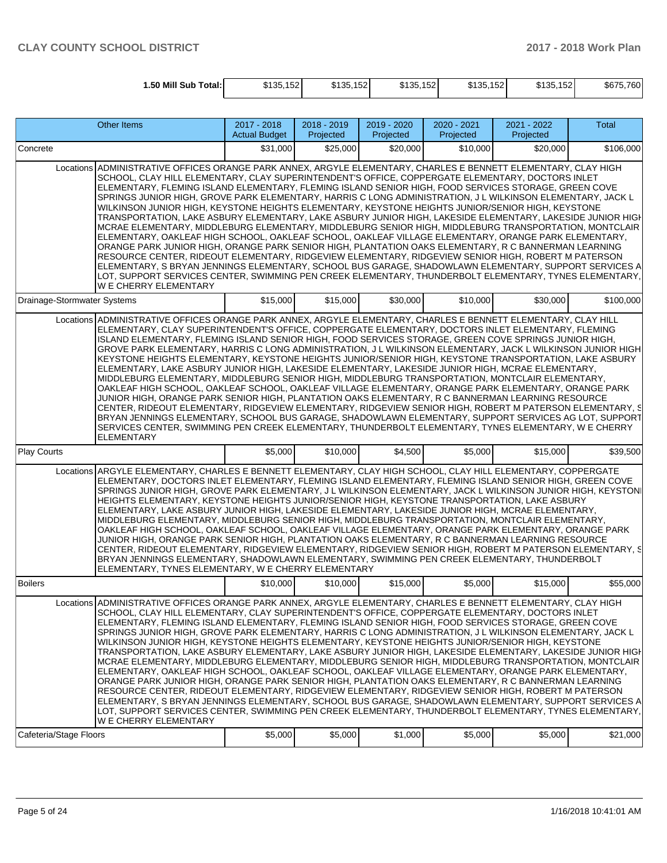| 1.50 Mill Sub<br>Total: | \$135,152 | \$135,152 | \$135,152 | 152<br><b>4125</b><br><b>JIJJ.IJZ</b> | \$135,152 | \$675,760 |
|-------------------------|-----------|-----------|-----------|---------------------------------------|-----------|-----------|
|                         |           |           |           |                                       |           |           |

|                             | <b>Other Items</b>                                                                                                                                                                                                                                                                                                                                                                                                                                                                                                                                                                                                                                                                                                                                                                                                                                                                                                                                                                                                                                                                                                                                                                                                                                                                                                                            | 2017 - 2018<br><b>Actual Budget</b> | 2018 - 2019<br>Projected | 2019 - 2020<br>Projected | 2020 - 2021<br>Projected | 2021 - 2022<br>Projected | <b>Total</b> |
|-----------------------------|-----------------------------------------------------------------------------------------------------------------------------------------------------------------------------------------------------------------------------------------------------------------------------------------------------------------------------------------------------------------------------------------------------------------------------------------------------------------------------------------------------------------------------------------------------------------------------------------------------------------------------------------------------------------------------------------------------------------------------------------------------------------------------------------------------------------------------------------------------------------------------------------------------------------------------------------------------------------------------------------------------------------------------------------------------------------------------------------------------------------------------------------------------------------------------------------------------------------------------------------------------------------------------------------------------------------------------------------------|-------------------------------------|--------------------------|--------------------------|--------------------------|--------------------------|--------------|
| Concrete                    |                                                                                                                                                                                                                                                                                                                                                                                                                                                                                                                                                                                                                                                                                                                                                                                                                                                                                                                                                                                                                                                                                                                                                                                                                                                                                                                                               | \$31,000                            | \$25,000                 | \$20,000                 | \$10,000                 | \$20,000                 | \$106,000    |
|                             | Locations ADMINISTRATIVE OFFICES ORANGE PARK ANNEX, ARGYLE ELEMENTARY, CHARLES E BENNETT ELEMENTARY, CLAY HIGH<br>SCHOOL, CLAY HILL ELEMENTARY, CLAY SUPERINTENDENT'S OFFICE, COPPERGATE ELEMENTARY, DOCTORS INLET<br>ELEMENTARY, FLEMING ISLAND ELEMENTARY, FLEMING ISLAND SENIOR HIGH, FOOD SERVICES STORAGE, GREEN COVE<br>SPRINGS JUNIOR HIGH, GROVE PARK ELEMENTARY, HARRIS C LONG ADMINISTRATION, J L WILKINSON ELEMENTARY, JACK L<br>WILKINSON JUNIOR HIGH, KEYSTONE HEIGHTS ELEMENTARY, KEYSTONE HEIGHTS JUNIOR/SENIOR HIGH, KEYSTONE<br>TRANSPORTATION, LAKE ASBURY ELEMENTARY, LAKE ASBURY JUNIOR HIGH, LAKESIDE ELEMENTARY, LAKESIDE JUNIOR HIGH<br>MCRAE ELEMENTARY, MIDDLEBURG ELEMENTARY, MIDDLEBURG SENIOR HIGH, MIDDLEBURG TRANSPORTATION, MONTCLAIR<br>ELEMENTARY, OAKLEAF HIGH SCHOOL, OAKLEAF SCHOOL, OAKLEAF VILLAGE ELEMENTARY, ORANGE PARK ELEMENTARY,<br>ORANGE PARK JUNIOR HIGH, ORANGE PARK SENIOR HIGH, PLANTATION OAKS ELEMENTARY, R C BANNERMAN LEARNING<br>RESOURCE CENTER, RIDEOUT ELEMENTARY, RIDGEVIEW ELEMENTARY, RIDGEVIEW SENIOR HIGH, ROBERT M PATERSON<br>ELEMENTARY, S BRYAN JENNINGS ELEMENTARY, SCHOOL BUS GARAGE, SHADOWLAWN ELEMENTARY, SUPPORT SERVICES A<br>LOT, SUPPORT SERVICES CENTER, SWIMMING PEN CREEK ELEMENTARY, THUNDERBOLT ELEMENTARY, TYNES ELEMENTARY,<br>W E CHERRY ELEMENTARY       |                                     |                          |                          |                          |                          |              |
| Drainage-Stormwater Systems |                                                                                                                                                                                                                                                                                                                                                                                                                                                                                                                                                                                                                                                                                                                                                                                                                                                                                                                                                                                                                                                                                                                                                                                                                                                                                                                                               | \$15,000                            | \$15,000                 | \$30,000                 | \$10,000                 | \$30,000                 | \$100,000    |
|                             | Locations ADMINISTRATIVE OFFICES ORANGE PARK ANNEX, ARGYLE ELEMENTARY, CHARLES E BENNETT ELEMENTARY, CLAY HILL<br>ELEMENTARY, CLAY SUPERINTENDENT'S OFFICE, COPPERGATE ELEMENTARY, DOCTORS INLET ELEMENTARY, FLEMING<br>ISLAND ELEMENTARY, FLEMING ISLAND SENIOR HIGH, FOOD SERVICES STORAGE, GREEN COVE SPRINGS JUNIOR HIGH,<br>GROVE PARK ELEMENTARY, HARRIS C LONG ADMINISTRATION, J L WILKINSON ELEMENTARY, JACK L WILKINSON JUNIOR HIGH<br>KEYSTONE HEIGHTS ELEMENTARY, KEYSTONE HEIGHTS JUNIOR/SENIOR HIGH, KEYSTONE TRANSPORTATION, LAKE ASBURY<br>ELEMENTARY, LAKE ASBURY JUNIOR HIGH, LAKESIDE ELEMENTARY, LAKESIDE JUNIOR HIGH, MCRAE ELEMENTARY,<br>MIDDLEBURG ELEMENTARY, MIDDLEBURG SENIOR HIGH, MIDDLEBURG TRANSPORTATION, MONTCLAIR ELEMENTARY,<br>OAKLEAF HIGH SCHOOL, OAKLEAF SCHOOL, OAKLEAF VILLAGE ELEMENTARY, ORANGE PARK ELEMENTARY, ORANGE PARK<br>JUNIOR HIGH, ORANGE PARK SENIOR HIGH, PLANTATION OAKS ELEMENTARY, R C BANNERMAN LEARNING RESOURCE<br>CENTER, RIDEOUT ELEMENTARY, RIDGEVIEW ELEMENTARY, RIDGEVIEW SENIOR HIGH, ROBERT M PATERSON ELEMENTARY, S<br>BRYAN JENNINGS ELEMENTARY, SCHOOL BUS GARAGE, SHADOWLAWN ELEMENTARY, SUPPORT SERVICES AG LOT, SUPPORT<br>SERVICES CENTER, SWIMMING PEN CREEK ELEMENTARY, THUNDERBOLT ELEMENTARY, TYNES ELEMENTARY, W E CHERRY<br><b>ELEMENTARY</b>                 |                                     |                          |                          |                          |                          |              |
| Play Courts                 |                                                                                                                                                                                                                                                                                                                                                                                                                                                                                                                                                                                                                                                                                                                                                                                                                                                                                                                                                                                                                                                                                                                                                                                                                                                                                                                                               | \$5,000                             | \$10,000                 | \$4,500                  | \$5,000                  | \$15,000                 | \$39,500     |
|                             | Locations ARGYLE ELEMENTARY, CHARLES E BENNETT ELEMENTARY, CLAY HIGH SCHOOL, CLAY HILL ELEMENTARY, COPPERGATE<br>ELEMENTARY, DOCTORS INLET ELEMENTARY, FLEMING ISLAND ELEMENTARY, FLEMING ISLAND SENIOR HIGH, GREEN COVE<br>SPRINGS JUNIOR HIGH, GROVE PARK ELEMENTARY, J L WILKINSON ELEMENTARY, JACK L WILKINSON JUNIOR HIGH, KEYSTONI<br>HEIGHTS ELEMENTARY, KEYSTONE HEIGHTS JUNIOR/SENIOR HIGH, KEYSTONE TRANSPORTATION, LAKE ASBURY<br>ELEMENTARY, LAKE ASBURY JUNIOR HIGH, LAKESIDE ELEMENTARY, LAKESIDE JUNIOR HIGH, MCRAE ELEMENTARY,<br>MIDDLEBURG ELEMENTARY, MIDDLEBURG SENIOR HIGH, MIDDLEBURG TRANSPORTATION, MONTCLAIR ELEMENTARY,<br>OAKLEAF HIGH SCHOOL, OAKLEAF SCHOOL, OAKLEAF VILLAGE ELEMENTARY, ORANGE PARK ELEMENTARY, ORANGE PARK<br>JUNIOR HIGH, ORANGE PARK SENIOR HIGH, PLANTATION OAKS ELEMENTARY, R C BANNERMAN LEARNING RESOURCE<br>CENTER, RIDEOUT ELEMENTARY, RIDGEVIEW ELEMENTARY, RIDGEVIEW SENIOR HIGH, ROBERT M PATERSON ELEMENTARY, S<br>BRYAN JENNINGS ELEMENTARY, SHADOWLAWN ELEMENTARY, SWIMMING PEN CREEK ELEMENTARY, THUNDERBOLT<br>ELEMENTARY, TYNES ELEMENTARY, W E CHERRY ELEMENTARY                                                                                                                                                                                                             |                                     |                          |                          |                          |                          |              |
| Boilers                     |                                                                                                                                                                                                                                                                                                                                                                                                                                                                                                                                                                                                                                                                                                                                                                                                                                                                                                                                                                                                                                                                                                                                                                                                                                                                                                                                               | \$10,000                            | \$10,000                 | \$15,000                 | \$5,000                  | \$15,000                 | \$55,000     |
|                             | Locations ADMINISTRATIVE OFFICES ORANGE PARK ANNEX, ARGYLE ELEMENTARY, CHARLES E BENNETT ELEMENTARY, CLAY HIGH<br>SCHOOL, CLAY HILL ELEMENTARY, CLAY SUPERINTENDENT'S OFFICE, COPPERGATE ELEMENTARY, DOCTORS INLET<br>ELEMENTARY, FLEMING ISLAND ELEMENTARY, FLEMING ISLAND SENIOR HIGH, FOOD SERVICES STORAGE, GREEN COVE<br>SPRINGS JUNIOR HIGH, GROVE PARK ELEMENTARY, HARRIS C LONG ADMINISTRATION, J L WILKINSON ELEMENTARY, JACK L<br>WILKINSON JUNIOR HIGH, KEYSTONE HEIGHTS ELEMENTARY, KEYSTONE HEIGHTS JUNIOR/SENIOR HIGH, KEYSTONE<br>TRANSPORTATION, LAKE ASBURY ELEMENTARY, LAKE ASBURY JUNIOR HIGH, LAKESIDE ELEMENTARY, LAKESIDE JUNIOR HIGH<br>MCRAE ELEMENTARY, MIDDLEBURG ELEMENTARY, MIDDLEBURG SENIOR HIGH, MIDDLEBURG TRANSPORTATION, MONTCLAIR<br>ELEMENTARY, OAKLEAF HIGH SCHOOL, OAKLEAF SCHOOL, OAKLEAF VILLAGE ELEMENTARY, ORANGE PARK ELEMENTARY,<br>ORANGE PARK JUNIOR HIGH, ORANGE PARK SENIOR HIGH, PLANTATION OAKS ELEMENTARY, R C BANNERMAN LEARNING<br>RESOURCE CENTER, RIDEOUT ELEMENTARY, RIDGEVIEW ELEMENTARY, RIDGEVIEW SENIOR HIGH, ROBERT M PATERSON<br>ELEMENTARY, S BRYAN JENNINGS ELEMENTARY, SCHOOL BUS GARAGE, SHADOWLAWN ELEMENTARY, SUPPORT SERVICES A<br>LOT. SUPPORT SERVICES CENTER. SWIMMING PEN CREEK ELEMENTARY. THUNDERBOLT ELEMENTARY. TYNES ELEMENTARY.<br><b>WE CHERRY ELEMENTARY</b> |                                     |                          |                          |                          |                          |              |
| Cafeteria/Stage Floors      |                                                                                                                                                                                                                                                                                                                                                                                                                                                                                                                                                                                                                                                                                                                                                                                                                                                                                                                                                                                                                                                                                                                                                                                                                                                                                                                                               | \$5,000                             | \$5,000                  | \$1,000                  | \$5,000                  | \$5,000                  | \$21,000     |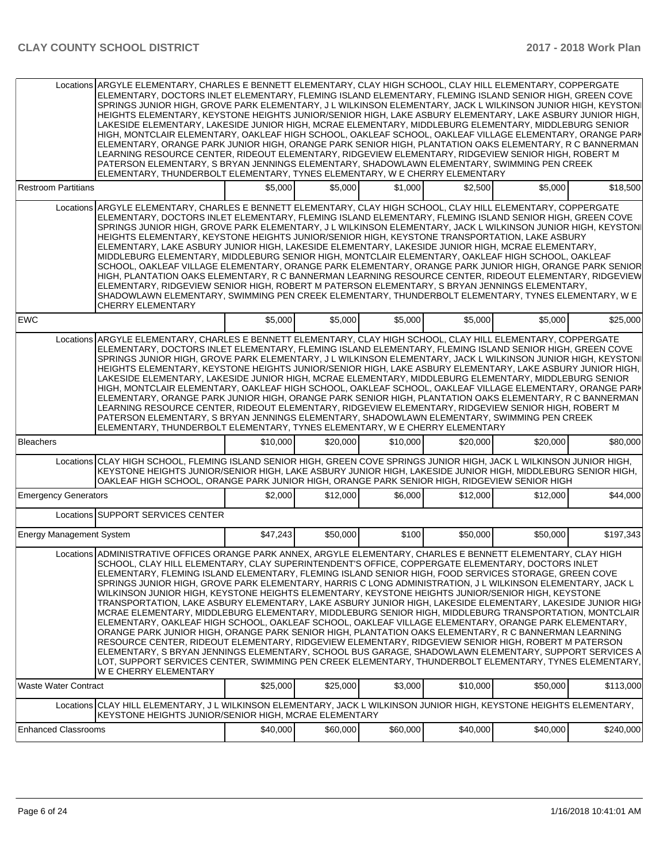|                                 | Locations ARGYLE ELEMENTARY, CHARLES E BENNETT ELEMENTARY, CLAY HIGH SCHOOL, CLAY HILL ELEMENTARY, COPPERGATE<br>ELEMENTARY, DOCTORS INLET ELEMENTARY, FLEMING ISLAND ELEMENTARY, FLEMING ISLAND SENIOR HIGH, GREEN COVE<br>SPRINGS JUNIOR HIGH, GROVE PARK ELEMENTARY, J L WILKINSON ELEMENTARY, JACK L WILKINSON JUNIOR HIGH, KEYSTONI<br>HEIGHTS ELEMENTARY, KEYSTONE HEIGHTS JUNIOR/SENIOR HIGH, LAKE ASBURY ELEMENTARY, LAKE ASBURY JUNIOR HIGH,<br>LAKESIDE ELEMENTARY, LAKESIDE JUNIOR HIGH, MCRAE ELEMENTARY, MIDDLEBURG ELEMENTARY, MIDDLEBURG SENIOR<br>HIGH, MONTCLAIR ELEMENTARY, OAKLEAF HIGH SCHOOL, OAKLEAF SCHOOL, OAKLEAF VILLAGE ELEMENTARY, ORANGE PARK<br>ELEMENTARY, ORANGE PARK JUNIOR HIGH, ORANGE PARK SENIOR HIGH, PLANTATION OAKS ELEMENTARY, R C BANNERMAN<br>LEARNING RESOURCE CENTER, RIDEOUT ELEMENTARY, RIDGEVIEW ELEMENTARY, RIDGEVIEW SENIOR HIGH, ROBERT M<br>PATERSON ELEMENTARY, S BRYAN JENNINGS ELEMENTARY, SHADOWLAWN ELEMENTARY, SWIMMING PEN CREEK<br>ELEMENTARY, THUNDERBOLT ELEMENTARY, TYNES ELEMENTARY, W E CHERRY ELEMENTARY                                                                                                                                                                                                                                                              |          |          |          |          |          |           |
|---------------------------------|-----------------------------------------------------------------------------------------------------------------------------------------------------------------------------------------------------------------------------------------------------------------------------------------------------------------------------------------------------------------------------------------------------------------------------------------------------------------------------------------------------------------------------------------------------------------------------------------------------------------------------------------------------------------------------------------------------------------------------------------------------------------------------------------------------------------------------------------------------------------------------------------------------------------------------------------------------------------------------------------------------------------------------------------------------------------------------------------------------------------------------------------------------------------------------------------------------------------------------------------------------------------------------------------------------------------------------------------|----------|----------|----------|----------|----------|-----------|
| <b>Restroom Partitians</b>      |                                                                                                                                                                                                                                                                                                                                                                                                                                                                                                                                                                                                                                                                                                                                                                                                                                                                                                                                                                                                                                                                                                                                                                                                                                                                                                                                         | \$5,000  | \$5,000  | \$1,000  | \$2,500  | \$5,000  | \$18,500  |
|                                 | Locations ARGYLE ELEMENTARY. CHARLES E BENNETT ELEMENTARY. CLAY HIGH SCHOOL. CLAY HILL ELEMENTARY. COPPERGATE<br>ELEMENTARY, DOCTORS INLET ELEMENTARY, FLEMING ISLAND ELEMENTARY, FLEMING ISLAND SENIOR HIGH, GREEN COVE<br>SPRINGS JUNIOR HIGH, GROVE PARK ELEMENTARY, J L WILKINSON ELEMENTARY, JACK L WILKINSON JUNIOR HIGH, KEYSTONI<br>HEIGHTS ELEMENTARY, KEYSTONE HEIGHTS JUNIOR/SENIOR HIGH, KEYSTONE TRANSPORTATION, LAKE ASBURY<br>ELEMENTARY, LAKE ASBURY JUNIOR HIGH, LAKESIDE ELEMENTARY, LAKESIDE JUNIOR HIGH, MCRAE ELEMENTARY,<br>MIDDLEBURG ELEMENTARY, MIDDLEBURG SENIOR HIGH, MONTCLAIR ELEMENTARY, OAKLEAF HIGH SCHOOL, OAKLEAF<br>SCHOOL, OAKLEAF VILLAGE ELEMENTARY, ORANGE PARK ELEMENTARY, ORANGE PARK JUNIOR HIGH, ORANGE PARK SENIOR<br>HIGH, PLANTATION OAKS ELEMENTARY, R C BANNERMAN LEARNING RESOURCE CENTER, RIDEOUT ELEMENTARY, RIDGEVIEW<br>ELEMENTARY, RIDGEVIEW SENIOR HIGH, ROBERT M PATERSON ELEMENTARY, S BRYAN JENNINGS ELEMENTARY,<br>SHADOWLAWN ELEMENTARY, SWIMMING PEN CREEK ELEMENTARY, THUNDERBOLT ELEMENTARY, TYNES ELEMENTARY, W E<br><b>CHERRY ELEMENTARY</b>                                                                                                                                                                                                                           |          |          |          |          |          |           |
| <b>EWC</b>                      |                                                                                                                                                                                                                                                                                                                                                                                                                                                                                                                                                                                                                                                                                                                                                                                                                                                                                                                                                                                                                                                                                                                                                                                                                                                                                                                                         | \$5,000  | \$5,000  | \$5,000  | \$5,000  | \$5,000  | \$25,000  |
|                                 | Locations ARGYLE ELEMENTARY, CHARLES E BENNETT ELEMENTARY, CLAY HIGH SCHOOL, CLAY HILL ELEMENTARY, COPPERGATE<br>ELEMENTARY, DOCTORS INLET ELEMENTARY, FLEMING ISLAND ELEMENTARY, FLEMING ISLAND SENIOR HIGH, GREEN COVE<br>SPRINGS JUNIOR HIGH, GROVE PARK ELEMENTARY, J L WILKINSON ELEMENTARY, JACK L WILKINSON JUNIOR HIGH, KEYSTONI<br>HEIGHTS ELEMENTARY, KEYSTONE HEIGHTS JUNIOR/SENIOR HIGH, LAKE ASBURY ELEMENTARY, LAKE ASBURY JUNIOR HIGH,<br>LAKESIDE ELEMENTARY, LAKESIDE JUNIOR HIGH, MCRAE ELEMENTARY, MIDDLEBURG ELEMENTARY, MIDDLEBURG SENIOR<br>HIGH, MONTCLAIR ELEMENTARY, OAKLEAF HIGH SCHOOL, OAKLEAF SCHOOL, OAKLEAF VILLAGE ELEMENTARY, ORANGE PARK<br>ELEMENTARY, ORANGE PARK JUNIOR HIGH, ORANGE PARK SENIOR HIGH, PLANTATION OAKS ELEMENTARY, R C BANNERMAN<br>LEARNING RESOURCE CENTER, RIDEOUT ELEMENTARY, RIDGEVIEW ELEMENTARY, RIDGEVIEW SENIOR HIGH, ROBERT M<br>PATERSON ELEMENTARY, S BRYAN JENNINGS ELEMENTARY, SHADOWLAWN ELEMENTARY, SWIMMING PEN CREEK<br>ELEMENTARY, THUNDERBOLT ELEMENTARY, TYNES ELEMENTARY, W E CHERRY ELEMENTARY                                                                                                                                                                                                                                                              |          |          |          |          |          |           |
| <b>Bleachers</b>                |                                                                                                                                                                                                                                                                                                                                                                                                                                                                                                                                                                                                                                                                                                                                                                                                                                                                                                                                                                                                                                                                                                                                                                                                                                                                                                                                         | \$10,000 | \$20,000 | \$10,000 | \$20,000 | \$20,000 | \$80,000  |
|                                 | Locations CLAY HIGH SCHOOL, FLEMING ISLAND SENIOR HIGH, GREEN COVE SPRINGS JUNIOR HIGH, JACK L WILKINSON JUNIOR HIGH,<br>KEYSTONE HEIGHTS JUNIOR/SENIOR HIGH, LAKE ASBURY JUNIOR HIGH, LAKESIDE JUNIOR HIGH, MIDDLEBURG SENIOR HIGH,<br>OAKLEAF HIGH SCHOOL, ORANGE PARK JUNIOR HIGH, ORANGE PARK SENIOR HIGH, RIDGEVIEW SENIOR HIGH                                                                                                                                                                                                                                                                                                                                                                                                                                                                                                                                                                                                                                                                                                                                                                                                                                                                                                                                                                                                    |          |          |          |          |          |           |
| <b>Emergency Generators</b>     |                                                                                                                                                                                                                                                                                                                                                                                                                                                                                                                                                                                                                                                                                                                                                                                                                                                                                                                                                                                                                                                                                                                                                                                                                                                                                                                                         | \$2,000  | \$12,000 | \$6,000  | \$12,000 | \$12,000 | \$44,000  |
|                                 | Locations SUPPORT SERVICES CENTER                                                                                                                                                                                                                                                                                                                                                                                                                                                                                                                                                                                                                                                                                                                                                                                                                                                                                                                                                                                                                                                                                                                                                                                                                                                                                                       |          |          |          |          |          |           |
| <b>Energy Management System</b> |                                                                                                                                                                                                                                                                                                                                                                                                                                                                                                                                                                                                                                                                                                                                                                                                                                                                                                                                                                                                                                                                                                                                                                                                                                                                                                                                         | \$47.243 | \$50,000 | \$100    | \$50,000 | \$50,000 | \$197,343 |
|                                 | Locations ADMINISTRATIVE OFFICES ORANGE PARK ANNEX, ARGYLE ELEMENTARY, CHARLES E BENNETT ELEMENTARY, CLAY HIGH<br>SCHOOL, CLAY HILL ELEMENTARY, CLAY SUPERINTENDENT'S OFFICE, COPPERGATE ELEMENTARY, DOCTORS INLET<br>ELEMENTARY, FLEMING ISLAND ELEMENTARY, FLEMING ISLAND SENIOR HIGH, FOOD SERVICES STORAGE, GREEN COVE<br>SPRINGS JUNIOR HIGH, GROVE PARK ELEMENTARY, HARRIS C LONG ADMINISTRATION, J L WILKINSON ELEMENTARY, JACK L<br>WILKINSON JUNIOR HIGH, KEYSTONE HEIGHTS ELEMENTARY, KEYSTONE HEIGHTS JUNIOR/SENIOR HIGH, KEYSTONE<br>TRANSPORTATION, LAKE ASBURY ELEMENTARY, LAKE ASBURY JUNIOR HIGH, LAKESIDE ELEMENTARY, LAKESIDE JUNIOR HIGH<br>MCRAE ELEMENTARY, MIDDLEBURG ELEMENTARY, MIDDLEBURG SENIOR HIGH, MIDDLEBURG TRANSPORTATION, MONTCLAIR<br>ELEMENTARY, OAKLEAF HIGH SCHOOL, OAKLEAF SCHOOL, OAKLEAF VILLAGE ELEMENTARY, ORANGE PARK ELEMENTARY,<br>ORANGE PARK JUNIOR HIGH, ORANGE PARK SENIOR HIGH, PLANTATION OAKS ELEMENTARY, R C BANNERMAN LEARNING<br>RESOURCE CENTER, RIDEOUT ELEMENTARY, RIDGEVIEW ELEMENTARY, RIDGEVIEW SENIOR HIGH, ROBERT M PATERSON<br>ELEMENTARY, S BRYAN JENNINGS ELEMENTARY, SCHOOL BUS GARAGE, SHADOWLAWN ELEMENTARY, SUPPORT SERVICES A<br>LOT, SUPPORT SERVICES CENTER, SWIMMING PEN CREEK ELEMENTARY, THUNDERBOLT ELEMENTARY, TYNES ELEMENTARY,<br>W E CHERRY ELEMENTARY |          |          |          |          |          |           |
| <b>Waste Water Contract</b>     |                                                                                                                                                                                                                                                                                                                                                                                                                                                                                                                                                                                                                                                                                                                                                                                                                                                                                                                                                                                                                                                                                                                                                                                                                                                                                                                                         | \$25,000 | \$25,000 | \$3.000  | \$10,000 | \$50,000 | \$113,000 |
|                                 | Locations CLAY HILL ELEMENTARY, J L WILKINSON ELEMENTARY, JACK L WILKINSON JUNIOR HIGH, KEYSTONE HEIGHTS ELEMENTARY,<br>KEYSTONE HEIGHTS JUNIOR/SENIOR HIGH, MCRAE ELEMENTARY                                                                                                                                                                                                                                                                                                                                                                                                                                                                                                                                                                                                                                                                                                                                                                                                                                                                                                                                                                                                                                                                                                                                                           |          |          |          |          |          |           |
| <b>Enhanced Classrooms</b>      |                                                                                                                                                                                                                                                                                                                                                                                                                                                                                                                                                                                                                                                                                                                                                                                                                                                                                                                                                                                                                                                                                                                                                                                                                                                                                                                                         | \$40,000 | \$60,000 | \$60,000 | \$40,000 | \$40,000 | \$240,000 |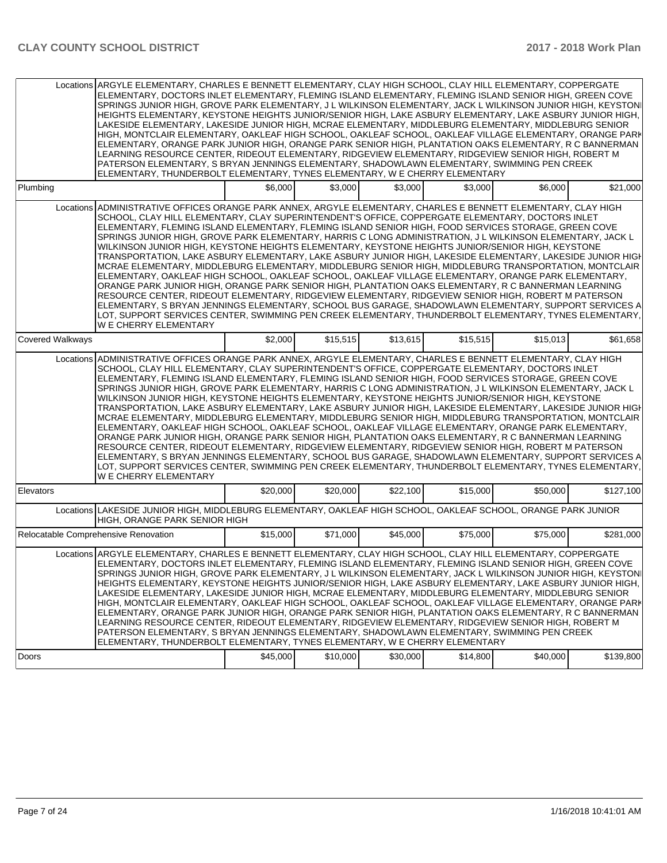|                  | Locations ARGYLE ELEMENTARY, CHARLES E BENNETT ELEMENTARY, CLAY HIGH SCHOOL, CLAY HILL ELEMENTARY, COPPERGATE<br>ELEMENTARY, DOCTORS INLET ELEMENTARY, FLEMING ISLAND ELEMENTARY, FLEMING ISLAND SENIOR HIGH, GREEN COVE<br>SPRINGS JUNIOR HIGH, GROVE PARK ELEMENTARY, J L WILKINSON ELEMENTARY, JACK L WILKINSON JUNIOR HIGH, KEYSTONI<br>HEIGHTS ELEMENTARY. KEYSTONE HEIGHTS JUNIOR/SENIOR HIGH. LAKE ASBURY ELEMENTARY. LAKE ASBURY JUNIOR HIGH.<br>LAKESIDE ELEMENTARY, LAKESIDE JUNIOR HIGH, MCRAE ELEMENTARY, MIDDLEBURG ELEMENTARY, MIDDLEBURG SENIOR<br>HIGH, MONTCLAIR ELEMENTARY, OAKLEAF HIGH SCHOOL, OAKLEAF SCHOOL, OAKLEAF VILLAGE ELEMENTARY, ORANGE PARK<br>ELEMENTARY, ORANGE PARK JUNIOR HIGH, ORANGE PARK SENIOR HIGH, PLANTATION OAKS ELEMENTARY, R C BANNERMAN<br>LEARNING RESOURCE CENTER, RIDEOUT ELEMENTARY, RIDGEVIEW ELEMENTARY, RIDGEVIEW SENIOR HIGH, ROBERT M<br>PATERSON ELEMENTARY, S BRYAN JENNINGS ELEMENTARY, SHADOWLAWN ELEMENTARY, SWIMMING PEN CREEK<br>ELEMENTARY, THUNDERBOLT ELEMENTARY, TYNES ELEMENTARY, W E CHERRY ELEMENTARY<br>\$6,000<br>\$3.000<br>\$3,000<br>\$21,000<br>\$3,000<br>\$6,000                                                                                                                                                                                           |          |          |          |          |          |           |  |  |
|------------------|-----------------------------------------------------------------------------------------------------------------------------------------------------------------------------------------------------------------------------------------------------------------------------------------------------------------------------------------------------------------------------------------------------------------------------------------------------------------------------------------------------------------------------------------------------------------------------------------------------------------------------------------------------------------------------------------------------------------------------------------------------------------------------------------------------------------------------------------------------------------------------------------------------------------------------------------------------------------------------------------------------------------------------------------------------------------------------------------------------------------------------------------------------------------------------------------------------------------------------------------------------------------------------------------------------------------------------------------|----------|----------|----------|----------|----------|-----------|--|--|
| Plumbing         |                                                                                                                                                                                                                                                                                                                                                                                                                                                                                                                                                                                                                                                                                                                                                                                                                                                                                                                                                                                                                                                                                                                                                                                                                                                                                                                                         |          |          |          |          |          |           |  |  |
|                  | Locations ADMINISTRATIVE OFFICES ORANGE PARK ANNEX, ARGYLE ELEMENTARY, CHARLES E BENNETT ELEMENTARY, CLAY HIGH<br>SCHOOL, CLAY HILL ELEMENTARY, CLAY SUPERINTENDENT'S OFFICE, COPPERGATE ELEMENTARY, DOCTORS INLET<br>ELEMENTARY, FLEMING ISLAND ELEMENTARY, FLEMING ISLAND SENIOR HIGH, FOOD SERVICES STORAGE, GREEN COVE<br>SPRINGS JUNIOR HIGH, GROVE PARK ELEMENTARY, HARRIS C LONG ADMINISTRATION, J L WILKINSON ELEMENTARY, JACK L<br>WILKINSON JUNIOR HIGH, KEYSTONE HEIGHTS ELEMENTARY, KEYSTONE HEIGHTS JUNIOR/SENIOR HIGH, KEYSTONE<br>TRANSPORTATION, LAKE ASBURY ELEMENTARY, LAKE ASBURY JUNIOR HIGH, LAKESIDE ELEMENTARY, LAKESIDE JUNIOR HIGH<br>MCRAE ELEMENTARY, MIDDLEBURG ELEMENTARY, MIDDLEBURG SENIOR HIGH, MIDDLEBURG TRANSPORTATION, MONTCLAIR<br>ELEMENTARY, OAKLEAF HIGH SCHOOL, OAKLEAF SCHOOL, OAKLEAF VILLAGE ELEMENTARY, ORANGE PARK ELEMENTARY,<br>ORANGE PARK JUNIOR HIGH, ORANGE PARK SENIOR HIGH, PLANTATION OAKS ELEMENTARY, R C BANNERMAN LEARNING<br>RESOURCE CENTER, RIDEOUT ELEMENTARY, RIDGEVIEW ELEMENTARY, RIDGEVIEW SENIOR HIGH, ROBERT M PATERSON<br>ELEMENTARY, S BRYAN JENNINGS ELEMENTARY, SCHOOL BUS GARAGE, SHADOWLAWN ELEMENTARY, SUPPORT SERVICES A<br>LOT, SUPPORT SERVICES CENTER, SWIMMING PEN CREEK ELEMENTARY, THUNDERBOLT ELEMENTARY, TYNES ELEMENTARY,<br>W E CHERRY ELEMENTARY |          |          |          |          |          |           |  |  |
| Covered Walkways |                                                                                                                                                                                                                                                                                                                                                                                                                                                                                                                                                                                                                                                                                                                                                                                                                                                                                                                                                                                                                                                                                                                                                                                                                                                                                                                                         | \$2,000  | \$15,515 | \$13,615 | \$15,515 | \$15,013 | \$61,658  |  |  |
|                  | Locations ADMINISTRATIVE OFFICES ORANGE PARK ANNEX, ARGYLE ELEMENTARY, CHARLES E BENNETT ELEMENTARY, CLAY HIGH<br>SCHOOL, CLAY HILL ELEMENTARY, CLAY SUPERINTENDENT'S OFFICE, COPPERGATE ELEMENTARY, DOCTORS INLET<br>ELEMENTARY, FLEMING ISLAND ELEMENTARY, FLEMING ISLAND SENIOR HIGH, FOOD SERVICES STORAGE, GREEN COVE<br>SPRINGS JUNIOR HIGH, GROVE PARK ELEMENTARY, HARRIS C LONG ADMINISTRATION, J L WILKINSON ELEMENTARY, JACK L<br>WILKINSON JUNIOR HIGH. KEYSTONE HEIGHTS ELEMENTARY. KEYSTONE HEIGHTS JUNIOR/SENIOR HIGH. KEYSTONE<br>TRANSPORTATION, LAKE ASBURY ELEMENTARY, LAKE ASBURY JUNIOR HIGH, LAKESIDE ELEMENTARY, LAKESIDE JUNIOR HIGH<br>MCRAE ELEMENTARY, MIDDLEBURG ELEMENTARY, MIDDLEBURG SENIOR HIGH, MIDDLEBURG TRANSPORTATION, MONTCLAIR<br>ELEMENTARY, OAKLEAF HIGH SCHOOL, OAKLEAF SCHOOL, OAKLEAF VILLAGE ELEMENTARY, ORANGE PARK ELEMENTARY,<br>ORANGE PARK JUNIOR HIGH, ORANGE PARK SENIOR HIGH, PLANTATION OAKS ELEMENTARY, R C BANNERMAN LEARNING<br>RESOURCE CENTER, RIDEOUT ELEMENTARY, RIDGEVIEW ELEMENTARY, RIDGEVIEW SENIOR HIGH, ROBERT M PATERSON<br>ELEMENTARY, S BRYAN JENNINGS ELEMENTARY, SCHOOL BUS GARAGE, SHADOWLAWN ELEMENTARY, SUPPORT SERVICES A<br>LOT. SUPPORT SERVICES CENTER. SWIMMING PEN CREEK ELEMENTARY. THUNDERBOLT ELEMENTARY. TYNES ELEMENTARY.<br>W E CHERRY ELEMENTARY |          |          |          |          |          |           |  |  |
| Elevators        |                                                                                                                                                                                                                                                                                                                                                                                                                                                                                                                                                                                                                                                                                                                                                                                                                                                                                                                                                                                                                                                                                                                                                                                                                                                                                                                                         | \$20,000 | \$20,000 | \$22,100 | \$15,000 | \$50,000 | \$127,100 |  |  |
|                  | Locations LAKESIDE JUNIOR HIGH, MIDDLEBURG ELEMENTARY, OAKLEAF HIGH SCHOOL, OAKLEAF SCHOOL, ORANGE PARK JUNIOR<br>HIGH, ORANGE PARK SENIOR HIGH                                                                                                                                                                                                                                                                                                                                                                                                                                                                                                                                                                                                                                                                                                                                                                                                                                                                                                                                                                                                                                                                                                                                                                                         |          |          |          |          |          |           |  |  |
|                  | Relocatable Comprehensive Renovation                                                                                                                                                                                                                                                                                                                                                                                                                                                                                                                                                                                                                                                                                                                                                                                                                                                                                                                                                                                                                                                                                                                                                                                                                                                                                                    | \$15,000 | \$71,000 | \$45,000 | \$75,000 | \$75,000 | \$281,000 |  |  |
|                  | Locations ARGYLE ELEMENTARY, CHARLES E BENNETT ELEMENTARY, CLAY HIGH SCHOOL, CLAY HILL ELEMENTARY, COPPERGATE<br>ELEMENTARY, DOCTORS INLET ELEMENTARY, FLEMING ISLAND ELEMENTARY, FLEMING ISLAND SENIOR HIGH, GREEN COVE<br>SPRINGS JUNIOR HIGH, GROVE PARK ELEMENTARY, J L WILKINSON ELEMENTARY, JACK L WILKINSON JUNIOR HIGH, KEYSTONI<br>HEIGHTS ELEMENTARY, KEYSTONE HEIGHTS JUNIOR/SENIOR HIGH, LAKE ASBURY ELEMENTARY, LAKE ASBURY JUNIOR HIGH,<br>LAKESIDE ELEMENTARY, LAKESIDE JUNIOR HIGH, MCRAE ELEMENTARY, MIDDLEBURG ELEMENTARY, MIDDLEBURG SENIOR<br>HIGH, MONTCLAIR ELEMENTARY, OAKLEAF HIGH SCHOOL, OAKLEAF SCHOOL, OAKLEAF VILLAGE ELEMENTARY, ORANGE PARK<br>ELEMENTARY. ORANGE PARK JUNIOR HIGH. ORANGE PARK SENIOR HIGH. PLANTATION OAKS ELEMENTARY. R C BANNERMAN<br>LEARNING RESOURCE CENTER, RIDEOUT ELEMENTARY, RIDGEVIEW ELEMENTARY, RIDGEVIEW SENIOR HIGH, ROBERT M<br>PATERSON ELEMENTARY. S BRYAN JENNINGS ELEMENTARY. SHADOWLAWN ELEMENTARY. SWIMMING PEN CREEK<br>ELEMENTARY, THUNDERBOLT ELEMENTARY, TYNES ELEMENTARY, W E CHERRY ELEMENTARY                                                                                                                                                                                                                                                              | \$45,000 | \$10,000 | \$30,000 |          | \$40,000 |           |  |  |
| Doors            |                                                                                                                                                                                                                                                                                                                                                                                                                                                                                                                                                                                                                                                                                                                                                                                                                                                                                                                                                                                                                                                                                                                                                                                                                                                                                                                                         |          |          |          | \$14,800 |          | \$139,800 |  |  |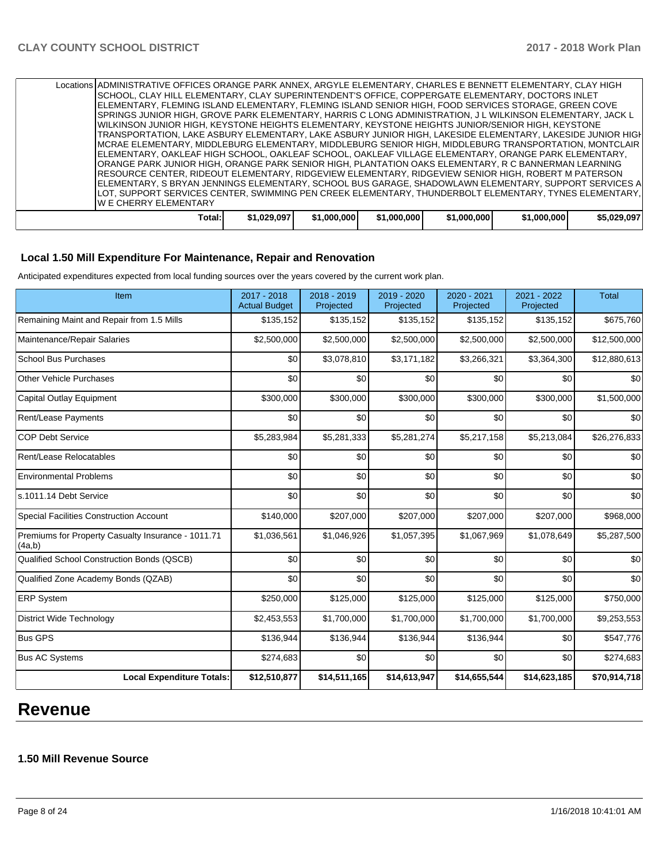| Locations ADMINISTRATIVE OFFICES ORANGE PARK ANNEX, ARGYLE ELEMENTARY, CHARLES E BENNETT ELEMENTARY, CLAY HIGH |             |             |             |             |             |             |
|----------------------------------------------------------------------------------------------------------------|-------------|-------------|-------------|-------------|-------------|-------------|
| SCHOOL, CLAY HILL ELEMENTARY, CLAY SUPERINTENDENT'S OFFICE, COPPERGATE ELEMENTARY, DOCTORS INLET               |             |             |             |             |             |             |
| ELEMENTARY, FLEMING ISLAND ELEMENTARY, FLEMING ISLAND SENIOR HIGH, FOOD SERVICES STORAGE, GREEN COVE           |             |             |             |             |             |             |
| SPRINGS JUNIOR HIGH, GROVE PARK ELEMENTARY, HARRIS C LONG ADMINISTRATION, J L WILKINSON ELEMENTARY, JACK L     |             |             |             |             |             |             |
| IWILKINSON JUNIOR HIGH. KEYSTONE HEIGHTS ELEMENTARY. KEYSTONE HEIGHTS JUNIOR/SENIOR HIGH. KEYSTONE             |             |             |             |             |             |             |
| TRANSPORTATION, LAKE ASBURY ELEMENTARY, LAKE ASBURY JUNIOR HIGH, LAKESIDE ELEMENTARY, LAKESIDE JUNIOR HIGH     |             |             |             |             |             |             |
| IMCRAE ELEMENTARY, MIDDLEBURG ELEMENTARY, MIDDLEBURG SENIOR HIGH, MIDDLEBURG TRANSPORTATION, MONTCLAIR         |             |             |             |             |             |             |
| ELEMENTARY, OAKLEAF HIGH SCHOOL, OAKLEAF SCHOOL, OAKLEAF VILLAGE ELEMENTARY, ORANGE PARK ELEMENTARY,           |             |             |             |             |             |             |
| ORANGE PARK JUNIOR HIGH, ORANGE PARK SENIOR HIGH, PLANTATION OAKS ELEMENTARY, R C BANNERMAN LEARNING           |             |             |             |             |             |             |
| IRESOURCE CENTER, RIDEOUT ELEMENTARY, RIDGEVIEW ELEMENTARY, RIDGEVIEW SENIOR HIGH, ROBERT M PATERSON           |             |             |             |             |             |             |
| ELEMENTARY, S BRYAN JENNINGS ELEMENTARY, SCHOOL BUS GARAGE, SHADOWLAWN ELEMENTARY, SUPPORT SERVICES A          |             |             |             |             |             |             |
| LOT, SUPPORT SERVICES CENTER, SWIMMING PEN CREEK ELEMENTARY, THUNDERBOLT ELEMENTARY, TYNES ELEMENTARY,         |             |             |             |             |             |             |
| IW E CHERRY ELEMENTARY                                                                                         |             |             |             |             |             |             |
|                                                                                                                |             |             |             |             |             |             |
| Total:                                                                                                         | \$1,029,097 | \$1,000,000 | \$1,000,000 | \$1,000,000 | \$1,000,000 | \$5.029.097 |

## **Local 1.50 Mill Expenditure For Maintenance, Repair and Renovation**

Anticipated expenditures expected from local funding sources over the years covered by the current work plan.

| Item                                                         | 2017 - 2018<br><b>Actual Budget</b> | 2018 - 2019<br>Projected | 2019 - 2020<br>Projected | $2020 - 2021$<br>Projected | 2021 - 2022<br>Projected | <b>Total</b> |
|--------------------------------------------------------------|-------------------------------------|--------------------------|--------------------------|----------------------------|--------------------------|--------------|
| Remaining Maint and Repair from 1.5 Mills                    | \$135,152                           | \$135,152                | \$135,152                | \$135,152                  | \$135,152                | \$675,760    |
| Maintenance/Repair Salaries                                  | \$2,500,000                         | \$2,500,000              | \$2,500,000              | \$2,500,000                | \$2,500,000              | \$12,500,000 |
| <b>School Bus Purchases</b>                                  | \$0                                 | \$3,078,810              | \$3,171,182              | \$3,266,321                | \$3,364,300              | \$12,880,613 |
| <b>Other Vehicle Purchases</b>                               | \$0                                 | \$0                      | \$0                      | \$0                        | \$0                      | \$0          |
| <b>Capital Outlay Equipment</b>                              | \$300,000                           | \$300,000                | \$300,000                | \$300,000                  | \$300,000                | \$1,500,000  |
| Rent/Lease Payments                                          | \$0                                 | \$0                      | \$0                      | \$0                        | \$0                      | \$0          |
| <b>COP Debt Service</b>                                      | \$5,283,984                         | \$5,281,333              | \$5,281,274              | \$5,217,158                | \$5,213,084              | \$26,276,833 |
| Rent/Lease Relocatables                                      | \$0                                 | \$0                      | \$0                      | \$0                        | \$0                      | \$0          |
| <b>Environmental Problems</b>                                | \$0                                 | \$0                      | \$0                      | \$0                        | \$0                      | \$0          |
| s.1011.14 Debt Service                                       | \$0                                 | \$0                      | \$0                      | \$0                        | \$0                      | \$0          |
| <b>Special Facilities Construction Account</b>               | \$140,000                           | \$207,000                | \$207,000                | \$207,000                  | \$207,000                | \$968,000    |
| Premiums for Property Casualty Insurance - 1011.71<br>(4a,b) | \$1,036,561                         | \$1,046,926              | \$1,057,395              | \$1,067,969                | \$1,078,649              | \$5,287,500  |
| Qualified School Construction Bonds (QSCB)                   | \$0                                 | \$0                      | \$0                      | \$0                        | \$0                      | \$0          |
| Qualified Zone Academy Bonds (QZAB)                          | \$0                                 | \$0                      | \$0                      | \$0                        | \$0                      | \$0          |
| <b>ERP System</b>                                            | \$250,000                           | \$125,000                | \$125,000                | \$125,000                  | \$125,000                | \$750,000    |
| <b>District Wide Technology</b>                              | \$2,453,553                         | \$1,700,000              | \$1,700,000              | \$1,700,000                | \$1,700,000              | \$9,253,553  |
| <b>Bus GPS</b>                                               | \$136,944                           | \$136,944                | \$136,944                | \$136,944                  | \$0                      | \$547,776    |
| <b>Bus AC Systems</b>                                        | \$274,683                           | \$0                      | \$0                      | \$0                        | \$0                      | \$274,683    |
| <b>Local Expenditure Totals:</b>                             | \$12,510,877                        | \$14,511,165             | \$14,613,947             | \$14,655,544               | \$14,623,185             | \$70,914,718 |

# **Revenue**

# **1.50 Mill Revenue Source**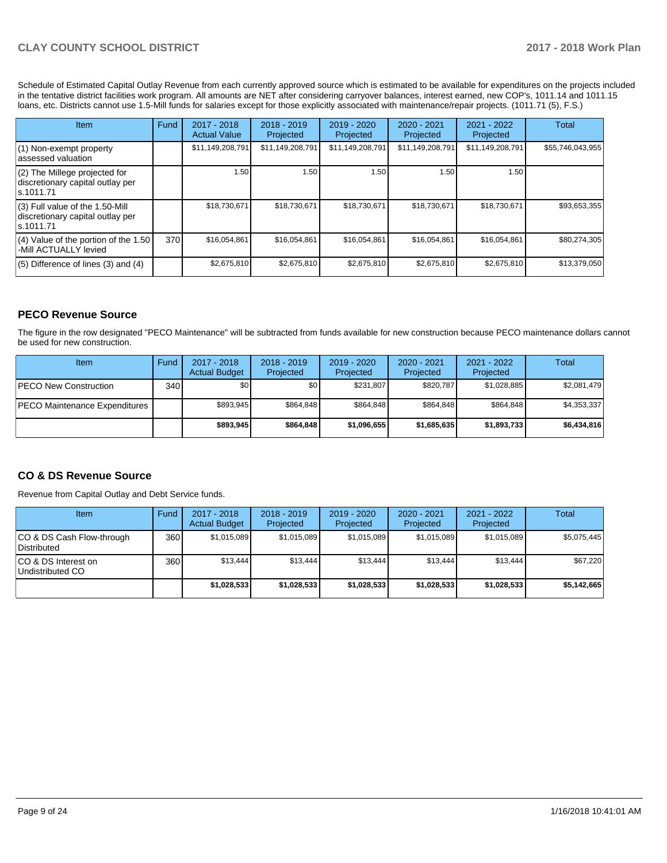Schedule of Estimated Capital Outlay Revenue from each currently approved source which is estimated to be available for expenditures on the projects included in the tentative district facilities work program. All amounts are NET after considering carryover balances, interest earned, new COP's, 1011.14 and 1011.15 loans, etc. Districts cannot use 1.5-Mill funds for salaries except for those explicitly associated with maintenance/repair projects. (1011.71 (5), F.S.)

| Item                                                                                | Fund | $2017 - 2018$<br><b>Actual Value</b> | $2018 - 2019$<br>Projected | $2019 - 2020$<br>Projected | $2020 - 2021$<br>Projected | 2021 - 2022<br>Projected | Total            |
|-------------------------------------------------------------------------------------|------|--------------------------------------|----------------------------|----------------------------|----------------------------|--------------------------|------------------|
| $(1)$ Non-exempt property<br>lassessed valuation                                    |      | \$11,149,208,791                     | \$11,149,208,791           | \$11,149,208,791           | \$11,149,208,791           | \$11,149,208,791         | \$55,746,043,955 |
| $(2)$ The Millege projected for<br>discretionary capital outlay per<br>ls.1011.71   |      | 1.50                                 | 1.50                       | 1.50                       | 1.50                       | 1.50                     |                  |
| $(3)$ Full value of the 1.50-Mill<br>discretionary capital outlay per<br>ls.1011.71 |      | \$18,730,671                         | \$18,730,671               | \$18,730,671               | \$18,730,671               | \$18,730,671             | \$93,653,355     |
| $(4)$ Value of the portion of the 1.50<br>-Mill ACTUALLY levied                     | 370  | \$16,054,861                         | \$16,054,861               | \$16,054,861               | \$16,054,861               | \$16,054,861             | \$80,274,305     |
| $(5)$ Difference of lines (3) and (4)                                               |      | \$2,675,810                          | \$2,675,810                | \$2,675,810                | \$2,675,810                | \$2,675,810              | \$13,379,050     |

# **PECO Revenue Source**

The figure in the row designated "PECO Maintenance" will be subtracted from funds available for new construction because PECO maintenance dollars cannot be used for new construction.

| Item                                 | Fund         | $2017 - 2018$<br><b>Actual Budget</b> | $2018 - 2019$<br>Projected | 2019 - 2020<br>Projected | $2020 - 2021$<br>Projected | 2021 - 2022<br>Projected | Total       |
|--------------------------------------|--------------|---------------------------------------|----------------------------|--------------------------|----------------------------|--------------------------|-------------|
| <b>IPECO New Construction</b>        | 340 <b>I</b> | \$0                                   | \$0 <sub>1</sub>           | \$231.807                | \$820.787                  | \$1,028,885              | \$2,081,479 |
| <b>PECO Maintenance Expenditures</b> |              | \$893,945                             | \$864,848                  | \$864.848                | \$864.848                  | \$864,848                | \$4,353,337 |
|                                      |              | \$893,945                             | \$864.848                  | \$1,096,655              | \$1,685,635                | \$1,893,733              | \$6,434,816 |

## **CO & DS Revenue Source**

Revenue from Capital Outlay and Debt Service funds.

| Item                                      | Fund  | $2017 - 2018$<br><b>Actual Budget</b> | $2018 - 2019$<br>Projected | 2019 - 2020<br>Projected | $2020 - 2021$<br>Projected | 2021 - 2022<br>Projected | Total       |
|-------------------------------------------|-------|---------------------------------------|----------------------------|--------------------------|----------------------------|--------------------------|-------------|
| ICO & DS Cash Flow-through<br>Distributed | 360 l | \$1.015.089                           | \$1,015,089                | \$1,015,089              | \$1.015.089                | \$1,015,089              | \$5,075,445 |
| ICO & DS Interest on<br>Undistributed CO  | 360   | \$13.444                              | \$13.444                   | \$13.444                 | \$13.444                   | \$13.444                 | \$67,220    |
|                                           |       | \$1,028,533                           | \$1,028,533                | \$1,028,533              | \$1,028,533                | \$1,028,533              | \$5,142,665 |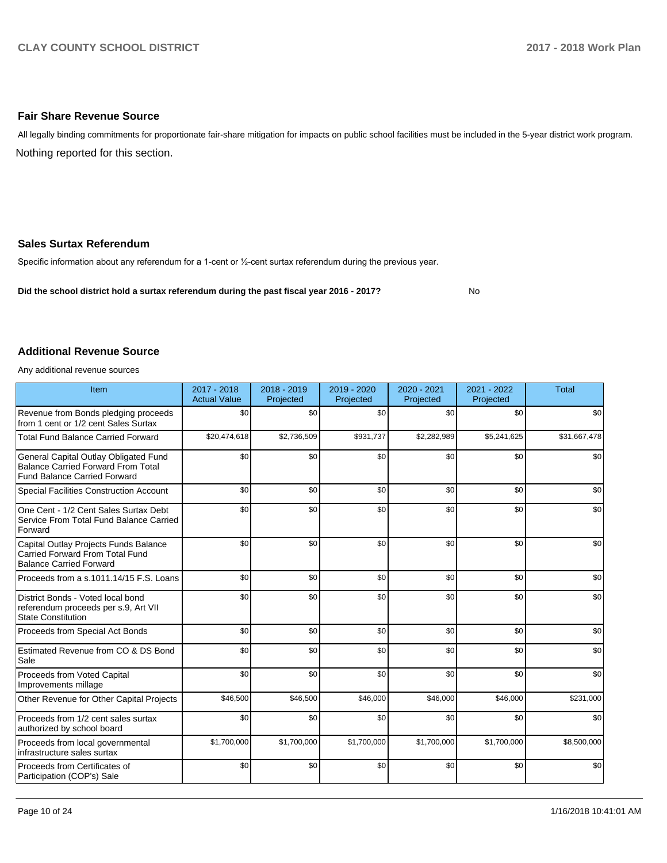## **Fair Share Revenue Source**

Nothing reported for this section. All legally binding commitments for proportionate fair-share mitigation for impacts on public school facilities must be included in the 5-year district work program.

## **Sales Surtax Referendum**

Specific information about any referendum for a 1-cent or 1/2-cent surtax referendum during the previous year.

**Did the school district hold a surtax referendum during the past fiscal year 2016 - 2017?**

No

#### **Additional Revenue Source**

Any additional revenue sources

| Item                                                                                                                      | 2017 - 2018<br><b>Actual Value</b> | 2018 - 2019<br>Projected | 2019 - 2020<br>Projected | $2020 - 2021$<br>Projected | 2021 - 2022<br>Projected | <b>Total</b> |
|---------------------------------------------------------------------------------------------------------------------------|------------------------------------|--------------------------|--------------------------|----------------------------|--------------------------|--------------|
| Revenue from Bonds pledging proceeds<br>from 1 cent or 1/2 cent Sales Surtax                                              | \$0                                | \$0                      | \$0                      | \$0                        | \$0                      | \$0          |
| <b>Total Fund Balance Carried Forward</b>                                                                                 | \$20,474,618                       | \$2,736,509              | \$931,737                | \$2,282,989                | \$5,241,625              | \$31,667,478 |
| General Capital Outlay Obligated Fund<br><b>Balance Carried Forward From Total</b><br><b>Fund Balance Carried Forward</b> | \$0                                | \$0                      | \$0                      | \$0                        | \$0                      | \$0          |
| <b>Special Facilities Construction Account</b>                                                                            | \$0                                | \$0                      | \$0                      | \$0                        | \$0                      | \$0          |
| One Cent - 1/2 Cent Sales Surtax Debt<br>Service From Total Fund Balance Carried<br>Forward                               | \$0                                | \$0                      | \$0                      | \$0                        | \$0                      | \$0          |
| Capital Outlay Projects Funds Balance<br>Carried Forward From Total Fund<br><b>Balance Carried Forward</b>                | \$0                                | \$0                      | \$0                      | \$0                        | \$0                      | \$0          |
| Proceeds from a s.1011.14/15 F.S. Loans                                                                                   | \$0                                | \$0                      | \$0                      | \$0                        | \$0                      | \$0          |
| District Bonds - Voted local bond<br>referendum proceeds per s.9, Art VII<br>State Constitution                           | \$0                                | \$0                      | \$0                      | \$0                        | \$0                      | \$0          |
| Proceeds from Special Act Bonds                                                                                           | \$0                                | \$0                      | \$0                      | \$0                        | \$0                      | \$0          |
| Estimated Revenue from CO & DS Bond<br>Sale                                                                               | \$0                                | \$0                      | \$0                      | \$0                        | \$0                      | \$0          |
| Proceeds from Voted Capital<br>Improvements millage                                                                       | \$0                                | \$0                      | \$0                      | \$0                        | \$0                      | \$0          |
| Other Revenue for Other Capital Projects                                                                                  | \$46,500                           | \$46,500                 | \$46,000                 | \$46,000                   | \$46,000                 | \$231,000    |
| Proceeds from 1/2 cent sales surtax<br>authorized by school board                                                         | \$0                                | \$0                      | \$0                      | \$0                        | \$0                      | \$0          |
| Proceeds from local governmental<br>infrastructure sales surtax                                                           | \$1,700,000                        | \$1,700,000              | \$1,700,000              | \$1,700,000                | \$1,700,000              | \$8,500,000  |
| Proceeds from Certificates of<br>Participation (COP's) Sale                                                               | \$0                                | \$0                      | \$0                      | \$0                        | \$0                      | \$0          |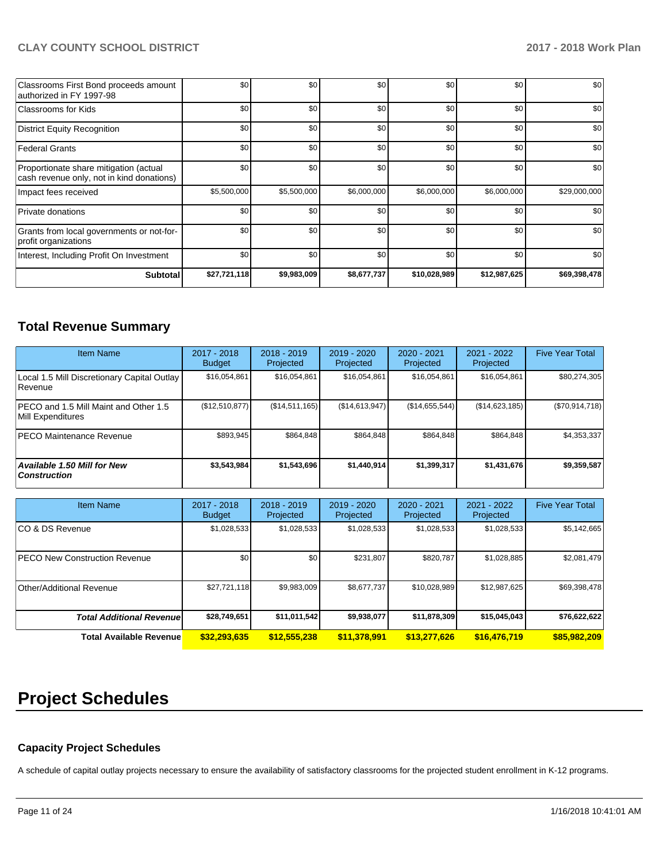| Classrooms First Bond proceeds amount<br>authorized in FY 1997-98                   | \$0          | \$0         | \$0         | \$0          | \$0          | \$0          |
|-------------------------------------------------------------------------------------|--------------|-------------|-------------|--------------|--------------|--------------|
| Classrooms for Kids                                                                 | \$0          | \$0         | \$0         | \$0          | \$0          | \$0          |
| District Equity Recognition                                                         | \$0          | \$0         | \$0         | \$0          | \$0          | \$0          |
| Federal Grants                                                                      | \$0          | \$0         | \$0         | \$0          | \$0          | \$0          |
| Proportionate share mitigation (actual<br>cash revenue only, not in kind donations) | \$0          | \$0         | \$0         | \$0          | \$0          | \$0          |
| Impact fees received                                                                | \$5,500,000  | \$5,500,000 | \$6,000,000 | \$6,000,000  | \$6,000,000  | \$29,000,000 |
| Private donations                                                                   | \$0          | \$0         | \$0         | \$0          | \$0          | \$0          |
| Grants from local governments or not-for-<br>profit organizations                   | \$0          | \$0         | \$0         | \$0          | \$0          | \$0          |
| Interest, Including Profit On Investment                                            | \$0          | \$0         | \$0         | \$0          | \$0          | \$0          |
| <b>Subtotal</b>                                                                     | \$27,721,118 | \$9,983,009 | \$8,677,737 | \$10,028,989 | \$12,987,625 | \$69,398,478 |

# **Total Revenue Summary**

| <b>Item Name</b>                                              | 2017 - 2018<br><b>Budget</b> | $2018 - 2019$<br>Projected | 2019 - 2020<br>Projected | $2020 - 2021$<br>Projected | $2021 - 2022$<br>Projected | <b>Five Year Total</b> |
|---------------------------------------------------------------|------------------------------|----------------------------|--------------------------|----------------------------|----------------------------|------------------------|
| Local 1.5 Mill Discretionary Capital Outlay<br><b>Revenue</b> | \$16,054,861                 | \$16,054,861               | \$16,054,861             | \$16,054,861               | \$16,054,861               | \$80,274,305           |
| PECO and 1.5 Mill Maint and Other 1.5<br>Mill Expenditures    | (\$12,510,877)               | (S14, 511, 165)            | (S14, 613, 947)          | (S14, 655, 544)            | (\$14,623,185)             | (\$70,914,718)         |
| <b>PECO Maintenance Revenue</b>                               | \$893.945                    | \$864.848                  | \$864.848                | \$864.848                  | \$864.848                  | \$4,353,337            |
| <b>Available 1.50 Mill for New</b><br>  Construction          | \$3,543,984                  | \$1,543,696                | \$1,440,914              | \$1,399,317                | \$1,431,676                | \$9,359,587            |

| <b>Item Name</b>                     | $2017 - 2018$<br><b>Budget</b> | $2018 - 2019$<br>Projected | $2019 - 2020$<br>Projected | $2020 - 2021$<br>Projected | 2021 - 2022<br>Projected | <b>Five Year Total</b> |
|--------------------------------------|--------------------------------|----------------------------|----------------------------|----------------------------|--------------------------|------------------------|
| ICO & DS Revenue                     | \$1,028,533                    | \$1,028,533                | \$1,028,533                | \$1,028,533                | \$1,028,533              | \$5,142,665            |
| <b>PECO New Construction Revenue</b> | \$0                            | \$0 <sub>1</sub>           | \$231.807                  | \$820,787                  | \$1,028,885              | \$2,081,479            |
| Other/Additional Revenue             | \$27,721,118                   | \$9,983,009                | \$8.677.737                | \$10,028,989               | \$12,987,625             | \$69,398,478           |
| <b>Total Additional Revenuel</b>     | \$28,749,651                   | \$11,011,542               | \$9,938,077                | \$11,878,309               | \$15,045,043             | \$76,622,622           |
| <b>Total Available Revenue</b>       | \$32,293,635                   | \$12,555,238               | \$11,378,991               | \$13,277,626               | \$16,476,719             | \$85,982,209           |

# **Project Schedules**

## **Capacity Project Schedules**

A schedule of capital outlay projects necessary to ensure the availability of satisfactory classrooms for the projected student enrollment in K-12 programs.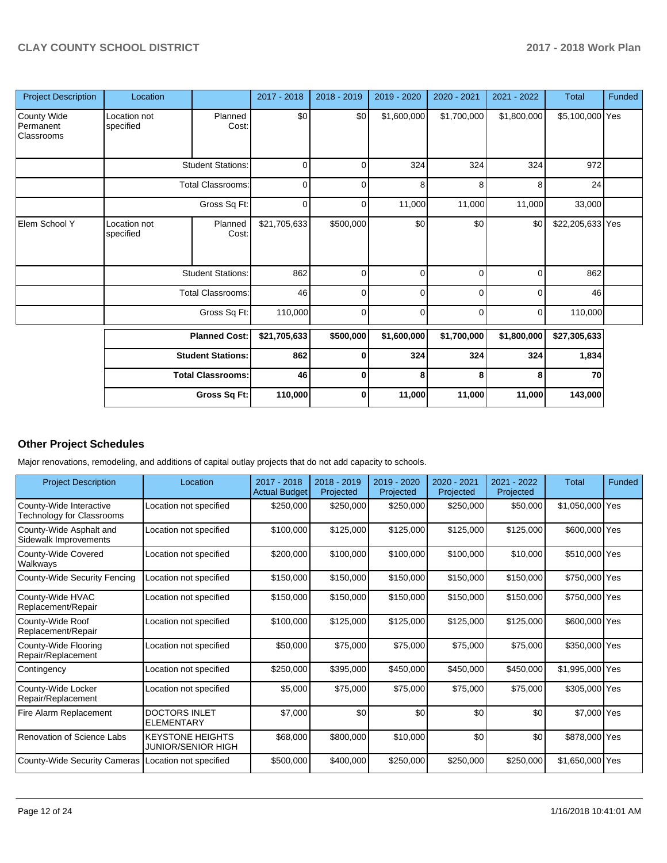| <b>Project Description</b>                    | Location                  |                          | 2017 - 2018  | 2018 - 2019    | 2019 - 2020 | 2020 - 2021 | 2021 - 2022 | <b>Total</b>     | Funded |
|-----------------------------------------------|---------------------------|--------------------------|--------------|----------------|-------------|-------------|-------------|------------------|--------|
| <b>County Wide</b><br>Permanent<br>Classrooms | Location not<br>specified | Planned<br>Cost:         | \$0          | \$0            | \$1,600,000 | \$1,700,000 | \$1,800,000 | \$5,100,000 Yes  |        |
|                                               |                           | <b>Student Stations:</b> | 0            | 0              | 324         | 324         | 324         | 972              |        |
|                                               |                           | <b>Total Classrooms:</b> | $\mathbf 0$  | 0              | 8           | 8           | 8           | 24               |        |
|                                               |                           | Gross Sq Ft:             | $\mathbf 0$  | $\overline{0}$ | 11,000      | 11,000      | 11,000      | 33,000           |        |
| Elem School Y                                 | Location not<br>specified | Planned<br>Cost:         | \$21,705,633 | \$500,000      | \$0         | \$0         | \$0         | \$22,205,633 Yes |        |
|                                               |                           | <b>Student Stations:</b> | 862          | 0              | 0           | 0           | $\Omega$    | 862              |        |
|                                               |                           | <b>Total Classrooms:</b> | 46           | $\overline{0}$ | 0           | 0           | $\Omega$    | 46               |        |
|                                               |                           | Gross Sq Ft:             | 110,000      | $\overline{0}$ | $\Omega$    | 0           | $\Omega$    | 110,000          |        |
|                                               |                           | <b>Planned Cost:</b>     | \$21,705,633 | \$500,000      | \$1,600,000 | \$1,700,000 | \$1,800,000 | \$27,305,633     |        |
|                                               |                           | <b>Student Stations:</b> | 862          | $\bf{0}$       | 324         | 324         | 324         | 1,834            |        |
|                                               |                           | <b>Total Classrooms:</b> | 46           | $\bf{0}$       | 8           | 8           | 8           | 70               |        |
|                                               |                           | Gross Sq Ft:             | 110,000      | $\mathbf{0}$   | 11,000      | 11,000      | 11,000      | 143,000          |        |

# **Other Project Schedules**

Major renovations, remodeling, and additions of capital outlay projects that do not add capacity to schools.

| <b>Project Description</b>                           | Location                                      | 2017 - 2018<br><b>Actual Budget</b> | $2018 - 2019$<br>Projected | $2019 - 2020$<br>Projected | 2020 - 2021<br>Projected | 2021 - 2022<br>Projected | <b>Total</b>    | Funded |
|------------------------------------------------------|-----------------------------------------------|-------------------------------------|----------------------------|----------------------------|--------------------------|--------------------------|-----------------|--------|
| County-Wide Interactive<br>Technology for Classrooms | Location not specified                        | \$250,000                           | \$250,000                  | \$250,000                  | \$250,000                | \$50,000                 | \$1,050,000 Yes |        |
| County-Wide Asphalt and<br>Sidewalk Improvements     | Location not specified                        | \$100,000                           | \$125,000                  | \$125,000                  | \$125,000                | \$125,000                | \$600,000 Yes   |        |
| County-Wide Covered<br>Walkways                      | Location not specified                        | \$200,000                           | \$100,000                  | \$100,000                  | \$100,000                | \$10,000                 | \$510,000 Yes   |        |
| County-Wide Security Fencing                         | Location not specified                        | \$150,000                           | \$150,000                  | \$150,000                  | \$150,000                | \$150,000                | \$750,000 Yes   |        |
| County-Wide HVAC<br>Replacement/Repair               | Location not specified                        | \$150,000                           | \$150,000                  | \$150,000                  | \$150,000                | \$150,000                | \$750,000 Yes   |        |
| County-Wide Roof<br>Replacement/Repair               | Location not specified                        | \$100,000                           | \$125,000                  | \$125,000                  | \$125,000                | \$125,000                | \$600,000 Yes   |        |
| County-Wide Flooring<br>Repair/Replacement           | Location not specified                        | \$50,000                            | \$75,000                   | \$75,000                   | \$75,000                 | \$75,000                 | \$350,000 Yes   |        |
| Contingency                                          | Location not specified                        | \$250,000                           | \$395,000                  | \$450,000                  | \$450,000                | \$450,000                | \$1,995,000 Yes |        |
| County-Wide Locker<br>Repair/Replacement             | Location not specified                        | \$5,000                             | \$75,000                   | \$75,000                   | \$75,000                 | \$75,000                 | \$305,000 Yes   |        |
| Fire Alarm Replacement                               | <b>DOCTORS INLET</b><br><b>ELEMENTARY</b>     | \$7,000                             | \$0                        | \$0                        | \$0                      | \$0                      | \$7,000 Yes     |        |
| Renovation of Science Labs                           | <b>KEYSTONE HEIGHTS</b><br>JUNIOR/SENIOR HIGH | \$68,000                            | \$800,000                  | \$10,000                   | \$0                      | \$0                      | \$878,000 Yes   |        |
| County-Wide Security Cameras                         | Location not specified                        | \$500,000                           | \$400,000                  | \$250,000                  | \$250,000                | \$250,000                | \$1,650,000 Yes |        |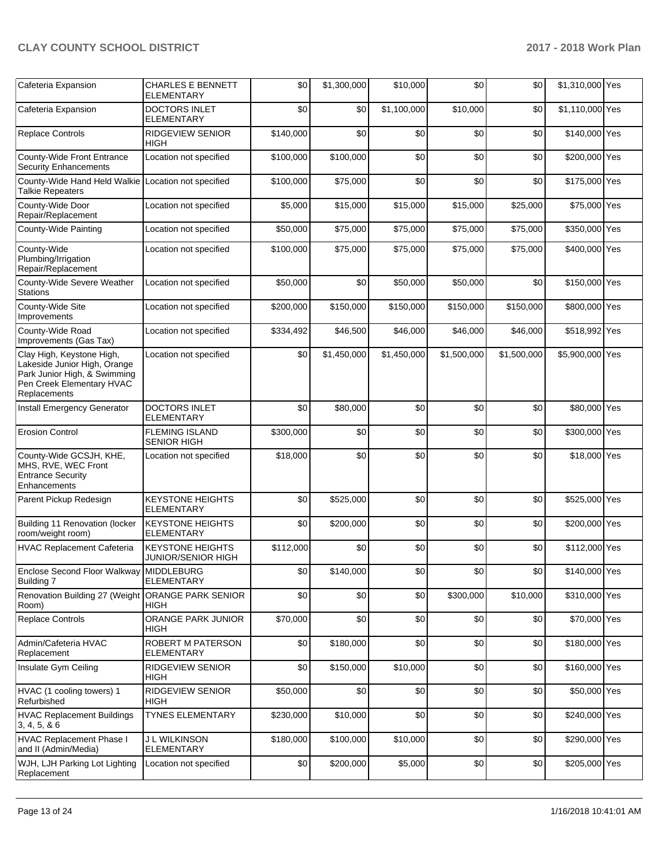| Cafeteria Expansion                                                                                                                    | <b>CHARLES E BENNETT</b><br><b>ELEMENTARY</b>        | \$0       | \$1,300,000 | \$10,000    | \$0         | \$0         | \$1,310,000 Yes |  |
|----------------------------------------------------------------------------------------------------------------------------------------|------------------------------------------------------|-----------|-------------|-------------|-------------|-------------|-----------------|--|
| Cafeteria Expansion                                                                                                                    | <b>DOCTORS INLET</b><br><b>ELEMENTARY</b>            | \$0       | \$0         | \$1,100,000 | \$10,000    | \$0         | \$1,110,000 Yes |  |
| <b>Replace Controls</b>                                                                                                                | <b>RIDGEVIEW SENIOR</b><br>HIGH                      | \$140,000 | \$0         | \$0         | \$0         | \$0         | \$140,000 Yes   |  |
| County-Wide Front Entrance<br><b>Security Enhancements</b>                                                                             | Location not specified                               | \$100,000 | \$100,000   | \$0         | \$0         | \$0         | \$200,000 Yes   |  |
| County-Wide Hand Held Walkie Location not specified<br><b>Talkie Repeaters</b>                                                         |                                                      | \$100,000 | \$75,000    | \$0         | \$0         | \$0         | \$175,000 Yes   |  |
| County-Wide Door<br>Repair/Replacement                                                                                                 | Location not specified                               | \$5,000   | \$15,000    | \$15,000    | \$15,000    | \$25,000    | \$75,000 Yes    |  |
| County-Wide Painting                                                                                                                   | Location not specified                               | \$50,000  | \$75,000    | \$75,000    | \$75,000    | \$75,000    | \$350,000 Yes   |  |
| County-Wide<br>Plumbing/Irrigation<br>Repair/Replacement                                                                               | Location not specified                               | \$100,000 | \$75,000    | \$75,000    | \$75,000    | \$75,000    | \$400,000 Yes   |  |
| County-Wide Severe Weather<br>Stations                                                                                                 | Location not specified                               | \$50,000  | \$0         | \$50,000    | \$50,000    | \$0         | \$150,000 Yes   |  |
| County-Wide Site<br>Improvements                                                                                                       | Location not specified                               | \$200,000 | \$150,000   | \$150,000   | \$150,000   | \$150,000   | \$800,000 Yes   |  |
| County-Wide Road<br>Improvements (Gas Tax)                                                                                             | Location not specified                               | \$334,492 | \$46,500    | \$46,000    | \$46,000    | \$46,000    | \$518,992 Yes   |  |
| Clay High, Keystone High,<br>Lakeside Junior High, Orange<br>Park Junior High, & Swimming<br>Pen Creek Elementary HVAC<br>Replacements | Location not specified                               | \$0       | \$1,450,000 | \$1,450,000 | \$1,500,000 | \$1,500,000 | \$5,900,000 Yes |  |
| Install Emergency Generator                                                                                                            | <b>DOCTORS INLET</b><br><b>ELEMENTARY</b>            | \$0       | \$80,000    | \$0         | \$0         | \$0         | \$80,000 Yes    |  |
| <b>Erosion Control</b>                                                                                                                 | <b>FLEMING ISLAND</b><br><b>SENIOR HIGH</b>          | \$300,000 | \$0         | \$0         | \$0         | \$0         | \$300,000 Yes   |  |
| County-Wide GCSJH, KHE,<br>MHS, RVE, WEC Front<br><b>Entrance Security</b><br>Enhancements                                             | Location not specified                               | \$18,000  | \$0         | \$0         | \$0         | \$0         | \$18,000 Yes    |  |
| Parent Pickup Redesign                                                                                                                 | <b>KEYSTONE HEIGHTS</b><br>ELEMENTARY                | \$0       | \$525,000   | \$0         | \$0         | \$0         | \$525,000 Yes   |  |
| Building 11 Renovation (locker<br>room/weight room)                                                                                    | <b>KEYSTONE HEIGHTS</b><br><b>ELEMENTARY</b>         | \$0       | \$200,000   | \$0         | \$0         | \$0         | \$200,000 Yes   |  |
| <b>HVAC Replacement Cafeteria</b>                                                                                                      | <b>KEYSTONE HEIGHTS</b><br><b>JUNIOR/SENIOR HIGH</b> | \$112,000 | \$0         | \$0         | \$0         | \$0         | \$112,000 Yes   |  |
| Enclose Second Floor Walkway MIDDLEBURG<br>Building 7                                                                                  | <b>ELEMENTARY</b>                                    | \$0       | \$140,000   | \$0         | \$0         | \$0         | \$140,000 Yes   |  |
| Renovation Building 27 (Weight<br>Room)                                                                                                | ORANGE PARK SENIOR<br>HIGH                           | \$0       | \$0         | \$0         | \$300,000   | \$10,000    | \$310,000 Yes   |  |
| Replace Controls                                                                                                                       | ORANGE PARK JUNIOR<br>HIGH                           | \$70,000  | \$0         | \$0         | \$0         | \$0         | \$70,000 Yes    |  |
| Admin/Cafeteria HVAC<br>Replacement                                                                                                    | ROBERT M PATERSON<br>ELEMENTARY                      | \$0       | \$180,000   | \$0         | \$0         | \$0         | \$180,000 Yes   |  |
| Insulate Gym Ceiling                                                                                                                   | RIDGEVIEW SENIOR<br>HIGH                             | \$0       | \$150,000   | \$10,000    | \$0         | \$0         | \$160,000 Yes   |  |
| HVAC (1 cooling towers) 1<br>Refurbished                                                                                               | RIDGEVIEW SENIOR<br><b>HIGH</b>                      | \$50,000  | \$0         | \$0         | \$0         | \$0         | \$50,000 Yes    |  |
| <b>HVAC Replacement Buildings</b><br>3, 4, 5, 86                                                                                       | <b>TYNES ELEMENTARY</b>                              | \$230,000 | \$10,000    | \$0         | \$0         | \$0         | \$240,000 Yes   |  |
| HVAC Replacement Phase I<br>and II (Admin/Media)                                                                                       | <b>J L WILKINSON</b><br><b>ELEMENTARY</b>            | \$180,000 | \$100,000   | \$10,000    | \$0         | \$0         | \$290,000 Yes   |  |
| WJH, LJH Parking Lot Lighting<br>Replacement                                                                                           | Location not specified                               | \$0       | \$200,000   | \$5,000     | \$0         | \$0         | \$205,000 Yes   |  |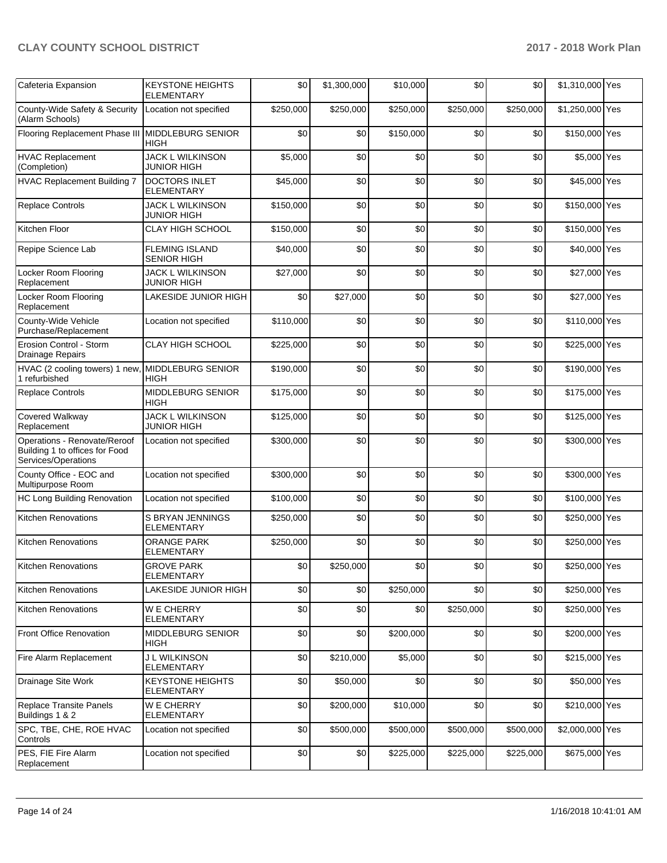| Cafeteria Expansion                                                                   | <b>KEYSTONE HEIGHTS</b><br>ELEMENTARY         | \$0       | \$1,300,000 | \$10,000  | \$0       | \$0       | \$1,310,000 Yes |  |
|---------------------------------------------------------------------------------------|-----------------------------------------------|-----------|-------------|-----------|-----------|-----------|-----------------|--|
| County-Wide Safety & Security<br>(Alarm Schools)                                      | Location not specified                        | \$250,000 | \$250,000   | \$250,000 | \$250,000 | \$250,000 | \$1,250,000 Yes |  |
| Flooring Replacement Phase III   MIDDLEBURG SENIOR                                    | HIGH                                          | \$0       | \$0         | \$150,000 | \$0       | \$0       | \$150,000 Yes   |  |
| <b>HVAC Replacement</b><br>(Completion)                                               | <b>JACK L WILKINSON</b><br>JUNIOR HIGH        | \$5,000   | \$0         | \$0       | \$0       | \$0       | \$5,000 Yes     |  |
| <b>HVAC Replacement Building 7</b>                                                    | DOCTORS INLET<br><b>ELEMENTARY</b>            | \$45,000  | \$0         | \$0       | \$0       | \$0       | \$45,000 Yes    |  |
| <b>Replace Controls</b>                                                               | <b>JACK L WILKINSON</b><br><b>JUNIOR HIGH</b> | \$150,000 | \$0         | \$0       | \$0       | \$0       | \$150,000 Yes   |  |
| Kitchen Floor                                                                         | <b>CLAY HIGH SCHOOL</b>                       | \$150,000 | \$0         | \$0       | \$0       | \$0       | \$150,000 Yes   |  |
| Repipe Science Lab                                                                    | <b>FLEMING ISLAND</b><br><b>SENIOR HIGH</b>   | \$40,000  | \$0         | \$0       | \$0       | \$0       | \$40,000 Yes    |  |
| Locker Room Flooring<br>Replacement                                                   | <b>JACK L WILKINSON</b><br><b>JUNIOR HIGH</b> | \$27,000  | \$0         | \$0       | \$0       | \$0       | \$27,000 Yes    |  |
| Locker Room Flooring<br>Replacement                                                   | LAKESIDE JUNIOR HIGH                          | \$0       | \$27,000    | \$0       | \$0       | \$0       | \$27,000 Yes    |  |
| County-Wide Vehicle<br>Purchase/Replacement                                           | Location not specified                        | \$110,000 | \$0         | \$0       | \$0       | \$0       | \$110,000 Yes   |  |
| Erosion Control - Storm<br>Drainage Repairs                                           | <b>CLAY HIGH SCHOOL</b>                       | \$225,000 | \$0         | \$0       | \$0       | \$0       | \$225,000 Yes   |  |
| HVAC (2 cooling towers) 1 new, MIDDLEBURG SENIOR<br>1 refurbished                     | <b>HIGH</b>                                   | \$190.000 | \$0         | \$0       | \$0       | \$0       | \$190,000 Yes   |  |
| <b>Replace Controls</b>                                                               | MIDDLEBURG SENIOR<br><b>HIGH</b>              | \$175,000 | \$0         | \$0       | \$0       | \$0       | \$175,000 Yes   |  |
| Covered Walkway<br>Replacement                                                        | JACK L WILKINSON<br><b>JUNIOR HIGH</b>        | \$125,000 | \$0         | \$0       | \$0       | \$0       | \$125,000 Yes   |  |
| Operations - Renovate/Reroof<br>Building 1 to offices for Food<br>Services/Operations | Location not specified                        | \$300,000 | \$0         | \$0       | \$0       | \$0       | \$300,000 Yes   |  |
| County Office - EOC and<br>Multipurpose Room                                          | Location not specified                        | \$300,000 | \$0         | \$0       | \$0       | \$0       | \$300,000 Yes   |  |
| <b>HC Long Building Renovation</b>                                                    | Location not specified                        | \$100,000 | \$0         | \$0       | \$0       | \$0       | \$100,000 Yes   |  |
| <b>Kitchen Renovations</b>                                                            | S BRYAN JENNINGS<br>ELEMENTARY                | \$250,000 | \$0         | \$0       | \$0       | \$0       | \$250,000 Yes   |  |
| <b>Kitchen Renovations</b>                                                            | <b>ORANGE PARK</b><br>ELEMENTARY              | \$250,000 | \$0         | \$0       | \$0       | \$0       | \$250,000 Yes   |  |
| Kitchen Renovations                                                                   | <b>GROVE PARK</b><br><b>ELEMENTARY</b>        | \$0       | \$250,000   | \$0       | \$0       | \$0       | \$250,000 Yes   |  |
| <b>Kitchen Renovations</b>                                                            | LAKESIDE JUNIOR HIGH                          | \$0       | \$0         | \$250,000 | \$0       | \$0       | \$250,000 Yes   |  |
| Kitchen Renovations                                                                   | <b>WE CHERRY</b><br><b>ELEMENTARY</b>         | \$0       | \$0         | \$0       | \$250,000 | \$0       | \$250,000 Yes   |  |
| Front Office Renovation                                                               | MIDDLEBURG SENIOR<br><b>HIGH</b>              | \$0       | \$0         | \$200,000 | \$0       | \$0       | \$200,000 Yes   |  |
| Fire Alarm Replacement                                                                | <b>J L WILKINSON</b><br>ELEMENTARY            | \$0       | \$210,000   | \$5,000   | \$0       | \$0       | \$215,000 Yes   |  |
| Drainage Site Work                                                                    | <b>KEYSTONE HEIGHTS</b><br>ELEMENTARY         | \$0       | \$50,000    | \$0       | \$0       | \$0       | \$50,000 Yes    |  |
| Replace Transite Panels<br>Buildings 1 & 2                                            | <b>WE CHERRY</b><br>ELEMENTARY                | \$0       | \$200,000   | \$10,000  | \$0       | \$0       | \$210,000 Yes   |  |
| SPC, TBE, CHE, ROE HVAC<br>Controls                                                   | Location not specified                        | \$0       | \$500,000   | \$500,000 | \$500,000 | \$500,000 | \$2,000,000 Yes |  |
| PES, FIE Fire Alarm<br>Replacement                                                    | Location not specified                        | \$0       | \$0         | \$225,000 | \$225,000 | \$225,000 | \$675,000 Yes   |  |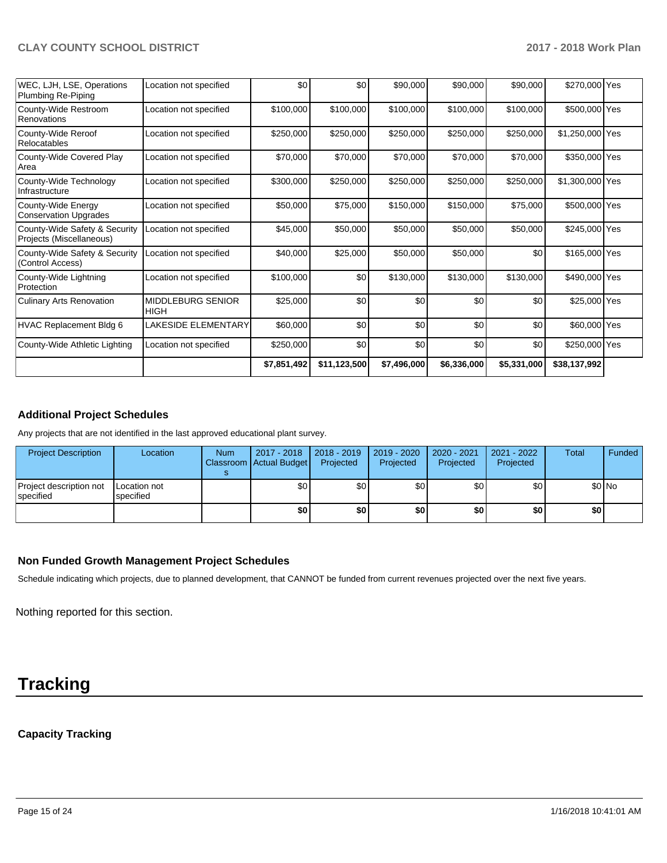| WEC, LJH, LSE, Operations<br>Plumbing Re-Piping           | Location not specified                  | \$0         | \$0 <sub>1</sub> | \$90,000    | \$90,000    | \$90,000    | \$270,000 Yes   |  |
|-----------------------------------------------------------|-----------------------------------------|-------------|------------------|-------------|-------------|-------------|-----------------|--|
| County-Wide Restroom<br>Renovations                       | Location not specified                  | \$100,000   | \$100,000        | \$100,000   | \$100,000   | \$100,000   | \$500,000 Yes   |  |
| County-Wide Reroof<br>Relocatables                        | Location not specified                  | \$250,000   | \$250,000        | \$250,000   | \$250,000   | \$250,000   | \$1,250,000 Yes |  |
| County-Wide Covered Play<br>Area                          | Location not specified                  | \$70,000    | \$70,000         | \$70,000    | \$70,000    | \$70,000    | \$350,000 Yes   |  |
| County-Wide Technology<br>Infrastructure                  | Location not specified                  | \$300,000   | \$250,000        | \$250,000   | \$250,000   | \$250,000   | \$1,300,000 Yes |  |
| County-Wide Energy<br>Conservation Upgrades               | Location not specified                  | \$50,000    | \$75,000         | \$150,000   | \$150,000   | \$75,000    | \$500,000 Yes   |  |
| County-Wide Safety & Security<br>Projects (Miscellaneous) | Location not specified                  | \$45,000    | \$50,000         | \$50,000    | \$50,000    | \$50,000    | \$245,000 Yes   |  |
| County-Wide Safety & Security<br>(Control Access)         | Location not specified                  | \$40,000    | \$25,000         | \$50,000    | \$50,000    | \$0         | \$165,000 Yes   |  |
| County-Wide Lightning<br>Protection                       | Location not specified                  | \$100,000   | \$0              | \$130,000   | \$130,000   | \$130,000   | \$490,000 Yes   |  |
| <b>Culinary Arts Renovation</b>                           | <b>MIDDLEBURG SENIOR</b><br><b>HIGH</b> | \$25,000    | \$0              | \$0         | \$0         | \$0         | \$25,000 Yes    |  |
| HVAC Replacement Bldg 6                                   | <b>LAKESIDE ELEMENTARY</b>              | \$60,000    | \$0              | \$0         | \$0         | \$0         | \$60,000 Yes    |  |
| County-Wide Athletic Lighting                             | Location not specified                  | \$250,000   | \$0              | \$0         | \$0         | \$0         | \$250,000 Yes   |  |
|                                                           |                                         | \$7,851,492 | \$11,123,500     | \$7,496,000 | \$6,336,000 | \$5,331,000 | \$38,137,992    |  |
|                                                           |                                         |             |                  |             |             |             |                 |  |

# **Additional Project Schedules**

Any projects that are not identified in the last approved educational plant survey.

| <b>Project Description</b>            | Location                  | <b>Num</b> | 2017 - 2018<br>Classroom Actual Budget | $ 2018 - 2019 $<br>Projected | 2019 - 2020<br>Projected | 2020 - 2021<br>Projected | 2021 - 2022<br>Projected | <b>Total</b> | Funded  |
|---------------------------------------|---------------------------|------------|----------------------------------------|------------------------------|--------------------------|--------------------------|--------------------------|--------------|---------|
| Project description not<br> specified | Location not<br>specified |            | \$٥                                    | \$٥Ι                         | \$0 <sub>1</sub>         | \$٥Ι                     | \$0                      |              | $$0$ No |
|                                       |                           |            | \$0                                    | \$0                          | \$0                      | \$0                      | \$0                      | \$0          |         |

## **Non Funded Growth Management Project Schedules**

Schedule indicating which projects, due to planned development, that CANNOT be funded from current revenues projected over the next five years.

Nothing reported for this section.

# **Tracking**

# **Capacity Tracking**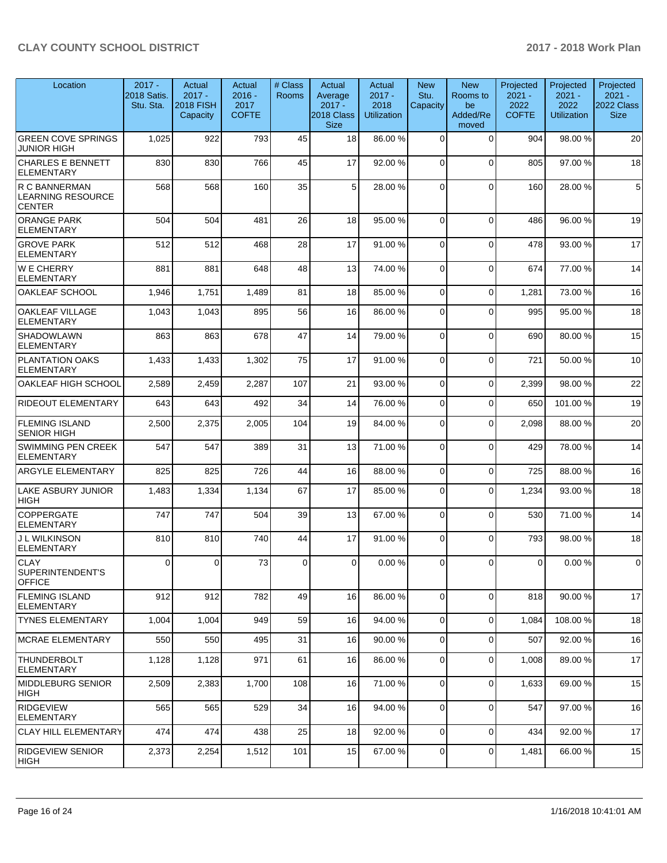| Location                                                   | $2017 -$<br>2018 Satis.<br>Stu. Sta. | Actual<br>$2017 -$<br><b>2018 FISH</b><br>Capacity | Actual<br>$2016 -$<br>2017<br><b>COFTE</b> | # Class<br><b>Rooms</b> | Actual<br>Average<br>$2017 -$<br>2018 Class<br><b>Size</b> | Actual<br>$2017 -$<br>2018<br><b>Utilization</b> | <b>New</b><br>Stu.<br>Capacity | <b>New</b><br>Rooms to<br>be<br>Added/Re<br>moved | Projected<br>$2021 -$<br>2022<br><b>COFTE</b> | Projected<br>$2021 -$<br>2022<br><b>Utilization</b> | Projected<br>$2021 -$<br>2022 Class<br><b>Size</b> |
|------------------------------------------------------------|--------------------------------------|----------------------------------------------------|--------------------------------------------|-------------------------|------------------------------------------------------------|--------------------------------------------------|--------------------------------|---------------------------------------------------|-----------------------------------------------|-----------------------------------------------------|----------------------------------------------------|
| <b>GREEN COVE SPRINGS</b><br><b>JUNIOR HIGH</b>            | 1,025                                | 922                                                | 793                                        | 45                      | 18                                                         | 86.00 %                                          | 0                              | $\Omega$                                          | 904                                           | 98.00 %                                             | 20                                                 |
| <b>CHARLES E BENNETT</b><br><b>ELEMENTARY</b>              | 830                                  | 830                                                | 766                                        | 45                      | 17                                                         | 92.00 %                                          | $\Omega$                       | $\Omega$                                          | 805                                           | 97.00 %                                             | 18                                                 |
| R C BANNERMAN<br><b>LEARNING RESOURCE</b><br><b>CENTER</b> | 568                                  | 568                                                | 160                                        | 35                      | 5                                                          | 28.00 %                                          | $\Omega$                       | $\Omega$                                          | 160                                           | 28.00 %                                             | 5                                                  |
| <b>ORANGE PARK</b><br><b>ELEMENTARY</b>                    | 504                                  | 504                                                | 481                                        | 26                      | 18                                                         | 95.00 %                                          | 0                              | $\Omega$                                          | 486                                           | 96.00 %                                             | 19                                                 |
| <b>GROVE PARK</b><br><b>ELEMENTARY</b>                     | 512                                  | 512                                                | 468                                        | 28                      | 17                                                         | 91.00%                                           | $\Omega$                       | $\Omega$                                          | 478                                           | 93.00 %                                             | 17                                                 |
| <b>WE CHERRY</b><br><b>ELEMENTARY</b>                      | 881                                  | 881                                                | 648                                        | 48                      | 13                                                         | 74.00 %                                          | $\Omega$                       | $\Omega$                                          | 674                                           | 77.00 %                                             | 14                                                 |
| OAKLEAF SCHOOL                                             | 1,946                                | 1,751                                              | 1,489                                      | 81                      | 18                                                         | 85.00 %                                          | 0                              | $\mathbf 0$                                       | 1,281                                         | 73.00 %                                             | 16                                                 |
| <b>OAKLEAF VILLAGE</b><br>ELEMENTARY                       | 1,043                                | 1,043                                              | 895                                        | 56                      | 16                                                         | 86.00 %                                          | 0                              | $\mathbf 0$                                       | 995                                           | 95.00 %                                             | 18                                                 |
| <b>SHADOWLAWN</b><br><b>ELEMENTARY</b>                     | 863                                  | 863                                                | 678                                        | 47                      | 14                                                         | 79.00 %                                          | $\Omega$                       | $\Omega$                                          | 690                                           | 80.00 %                                             | 15                                                 |
| <b>PLANTATION OAKS</b><br><b>ELEMENTARY</b>                | 1,433                                | 1,433                                              | 1,302                                      | 75                      | 17                                                         | 91.00%                                           | $\Omega$                       | $\Omega$                                          | 721                                           | 50.00 %                                             | 10                                                 |
| OAKLEAF HIGH SCHOOL                                        | 2,589                                | 2,459                                              | 2,287                                      | 107                     | 21                                                         | 93.00 %                                          | 0                              | $\mathbf 0$                                       | 2,399                                         | 98.00 %                                             | 22                                                 |
| RIDEOUT ELEMENTARY                                         | 643                                  | 643                                                | 492                                        | 34                      | 14                                                         | 76.00 %                                          | 0                              | $\mathbf 0$                                       | 650                                           | 101.00%                                             | 19                                                 |
| <b>FLEMING ISLAND</b><br><b>SENIOR HIGH</b>                | 2,500                                | 2,375                                              | 2,005                                      | 104                     | 19                                                         | 84.00%                                           | $\Omega$                       | $\Omega$                                          | 2,098                                         | 88.00 %                                             | 20                                                 |
| SWIMMING PEN CREEK<br><b>ELEMENTARY</b>                    | 547                                  | 547                                                | 389                                        | 31                      | 13                                                         | 71.00 %                                          | $\Omega$                       | $\Omega$                                          | 429                                           | 78.00 %                                             | 14                                                 |
| <b>ARGYLE ELEMENTARY</b>                                   | 825                                  | 825                                                | 726                                        | 44                      | 16                                                         | 88.00 %                                          | $\Omega$                       | $\Omega$                                          | 725                                           | 88.00 %                                             | 16                                                 |
| LAKE ASBURY JUNIOR<br><b>HIGH</b>                          | 1,483                                | 1,334                                              | 1,134                                      | 67                      | 17                                                         | 85.00 %                                          | $\Omega$                       | $\Omega$                                          | 1,234                                         | 93.00 %                                             | 18                                                 |
| <b>COPPERGATE</b><br>ELEMENTARY                            | 747                                  | 747                                                | 504                                        | 39                      | 13                                                         | 67.00 %                                          | $\mathbf 0$                    | $\mathbf 0$                                       | 530                                           | 71.00 %                                             | 14                                                 |
| J L WILKINSON<br>ELEMENTARY                                | 810                                  | 810                                                | 740                                        | 44                      | 17                                                         | 91.00%                                           | $\Omega$                       | $\Omega$                                          | 793                                           | 98.00 %                                             | 18                                                 |
| <b>CLAY</b><br>SUPERINTENDENT'S<br><b>OFFICE</b>           | $\Omega$                             | $\Omega$                                           | 73                                         | $\Omega$                | $\Omega$                                                   | 0.00%                                            | $\Omega$                       | $\Omega$                                          | $\Omega$                                      | $0.00 \%$                                           | $\Omega$                                           |
| <b>FLEMING ISLAND</b><br>ELEMENTARY                        | 912                                  | 912                                                | 782                                        | 49                      | 16                                                         | 86.00 %                                          | $\mathbf 0$                    | $\mathbf 0$                                       | 818                                           | 90.00 %                                             | 17                                                 |
| <b>TYNES ELEMENTARY</b>                                    | 1,004                                | 1,004                                              | 949                                        | 59                      | 16                                                         | 94.00 %                                          | $\mathbf 0$                    | $\Omega$                                          | 1,084                                         | 108.00%                                             | 18                                                 |
| MCRAE ELEMENTARY                                           | 550                                  | 550                                                | 495                                        | 31                      | 16                                                         | 90.00 %                                          | 0                              | $\mathbf 0$                                       | 507                                           | 92.00 %                                             | 16                                                 |
| THUNDERBOLT<br> ELEMENTARY                                 | 1,128                                | 1,128                                              | 971                                        | 61                      | 16                                                         | 86.00 %                                          | 0                              | $\mathbf 0$                                       | 1,008                                         | 89.00 %                                             | 17                                                 |
| <b>IMIDDLEBURG SENIOR</b><br>HIGH                          | 2,509                                | 2,383                                              | 1,700                                      | 108                     | 16                                                         | 71.00 %                                          | 0                              | $\mathbf 0$                                       | 1,633                                         | 69.00 %                                             | 15                                                 |
| <b>RIDGEVIEW</b><br><b>ELEMENTARY</b>                      | 565                                  | 565                                                | 529                                        | 34                      | 16                                                         | 94.00 %                                          | $\mathbf 0$                    | $\mathbf 0$                                       | 547                                           | 97.00 %                                             | 16                                                 |
| <b>CLAY HILL ELEMENTARY</b>                                | 474                                  | 474                                                | 438                                        | 25                      | 18                                                         | 92.00 %                                          | 0                              | $\mathbf 0$                                       | 434                                           | 92.00 %                                             | 17                                                 |
| <b>RIDGEVIEW SENIOR</b><br> HIGH                           | 2,373                                | 2,254                                              | 1,512                                      | 101                     | 15                                                         | 67.00 %                                          | 0                              | 0                                                 | 1,481                                         | 66.00 %                                             | 15                                                 |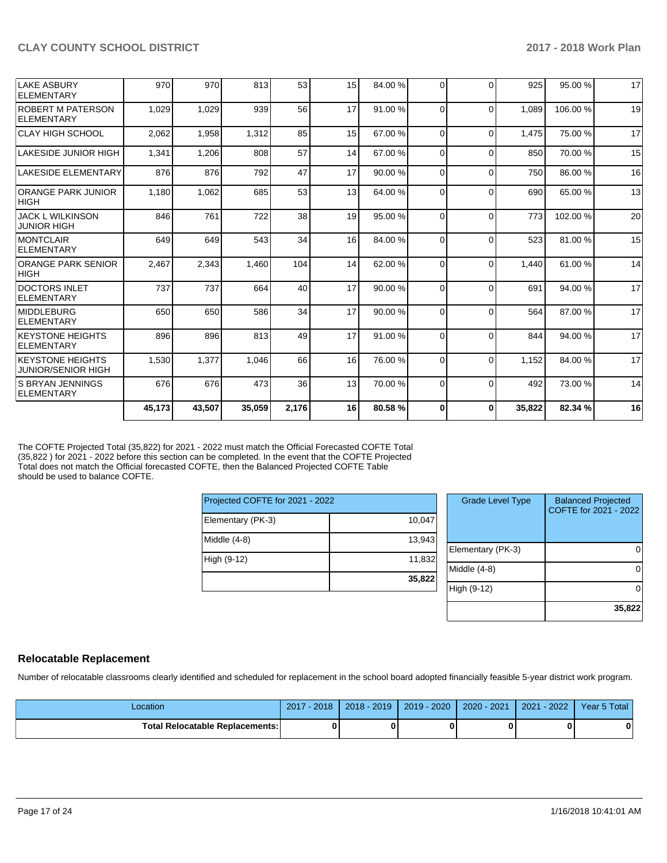|                                                      | 45,173 | 43,507 | 35,059 | 2,176 | 16 | 80.58%  | 0        | $\mathbf 0$ | 35,822 | 82.34 % | 16 |
|------------------------------------------------------|--------|--------|--------|-------|----|---------|----------|-------------|--------|---------|----|
| IS BRYAN JENNINGS<br>ELEMENTARY                      | 676    | 676    | 473    | 36    | 13 | 70.00 % | $\Omega$ | $\Omega$    | 492    | 73.00 % | 14 |
| <b>KEYSTONE HEIGHTS</b><br><b>JUNIOR/SENIOR HIGH</b> | 1,530  | 1,377  | 1,046  | 66    | 16 | 76.00 % | $\Omega$ | $\Omega$    | 1,152  | 84.00 % | 17 |
| <b>KEYSTONE HEIGHTS</b><br><b>ELEMENTARY</b>         | 896    | 896    | 813    | 49    | 17 | 91.00 % | $\Omega$ | $\Omega$    | 844    | 94.00 % | 17 |
| <b>MIDDLEBURG</b><br><b>ELEMENTARY</b>               | 650    | 650    | 586    | 34    | 17 | 90.00 % | $\Omega$ | $\Omega$    | 564    | 87.00 % | 17 |
| <b>DOCTORS INLET</b><br>ELEMENTARY                   | 737    | 737    | 664    | 40    | 17 | 90.00 % | 0        | $\Omega$    | 691    | 94.00 % | 17 |
| <b>ORANGE PARK SENIOR</b><br><b>HIGH</b>             | 2,467  | 2,343  | 1,460  | 104   | 14 | 62.00 % | $\Omega$ | $\Omega$    | 1,440  | 61.00%  | 14 |
| <b>MONTCLAIR</b><br><b>ELEMENTARY</b>                | 649    | 649    | 543    | 34    | 16 | 84.00%  | $\Omega$ | $\Omega$    | 523    | 81.00%  | 15 |
| <b>JACK L WILKINSON</b><br><b>JUNIOR HIGH</b>        | 846    | 761    | 722    | 38    | 19 | 95.00 % | $\Omega$ | $\Omega$    | 773    | 102.00% | 20 |
| <b>ORANGE PARK JUNIOR</b><br><b>HIGH</b>             | 1.180  | 1,062  | 685    | 53    | 13 | 64.00 % | 0        | $\Omega$    | 690    | 65.00 % | 13 |
| <b>LAKESIDE ELEMENTARY</b>                           | 876    | 876    | 792    | 47    | 17 | 90.00 % | $\Omega$ | $\Omega$    | 750    | 86.00 % | 16 |
| LAKESIDE JUNIOR HIGH                                 | 1,341  | 1,206  | 808    | 57    | 14 | 67.00 % | $\Omega$ | $\Omega$    | 850    | 70.00 % | 15 |
| CLAY HIGH SCHOOL                                     | 2,062  | 1,958  | 1,312  | 85    | 15 | 67.00 % | $\Omega$ | $\Omega$    | 1,475  | 75.00 % | 17 |
| <b>ROBERT M PATERSON</b><br>ELEMENTARY               | 1,029  | 1,029  | 939    | 56    | 17 | 91.00 % | $\Omega$ | $\Omega$    | 1,089  | 106.00% | 19 |
| LAKE ASBURY<br><b>ELEMENTARY</b>                     | 970    | 970    | 813    | 53    | 15 | 84.00%  | $\Omega$ | $\Omega$    | 925    | 95.00 % | 17 |
|                                                      |        |        |        |       |    |         |          |             |        |         |    |

The COFTE Projected Total (35,822) for 2021 - 2022 must match the Official Forecasted COFTE Total (35,822 ) for 2021 - 2022 before this section can be completed. In the event that the COFTE Projected Total does not match the Official forecasted COFTE, then the Balanced Projected COFTE Table should be used to balance COFTE.

| Projected COFTE for 2021 - 2022 |        |  |  |  |  |  |  |
|---------------------------------|--------|--|--|--|--|--|--|
| Elementary (PK-3)               | 10,047 |  |  |  |  |  |  |
| Middle $(4-8)$                  | 13,943 |  |  |  |  |  |  |
| High (9-12)                     | 11,832 |  |  |  |  |  |  |
|                                 | 35,822 |  |  |  |  |  |  |

| <b>Grade Level Type</b> | <b>Balanced Projected</b><br>COFTE for 2021 - 2022 |
|-------------------------|----------------------------------------------------|
| Elementary (PK-3)       |                                                    |
| Middle $(4-8)$          |                                                    |
| High (9-12)             |                                                    |
|                         | 35,822                                             |

## **Relocatable Replacement**

Number of relocatable classrooms clearly identified and scheduled for replacement in the school board adopted financially feasible 5-year district work program.

| .ocation                               | $2017 - 2018$ | 2018 - 2019 | 2019 - 2020 I | $2020 - 2021$ | 2021 - 2022 | Year 5 Total |
|----------------------------------------|---------------|-------------|---------------|---------------|-------------|--------------|
| <b>Total Relocatable Replacements:</b> |               |             |               |               |             |              |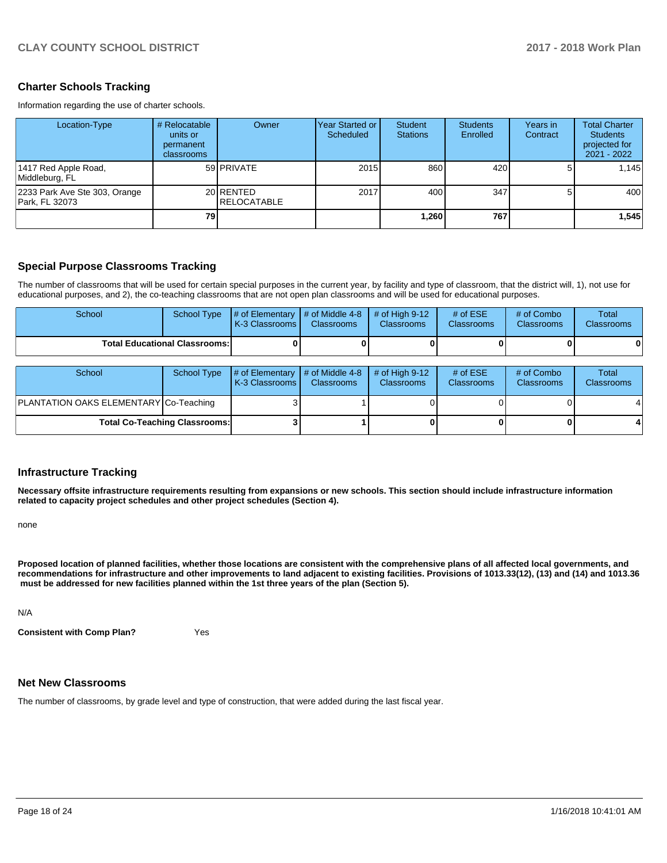## **Charter Schools Tracking**

Information regarding the use of charter schools.

| Location-Type                                   | # Relocatable<br>units or<br>permanent<br>classrooms | Owner                            | Year Started or  <br>Scheduled | Student<br><b>Stations</b> | <b>Students</b><br>Enrolled | Years in<br>Contract | <b>Total Charter</b><br><b>Students</b><br>projected for<br>2021 - 2022 |
|-------------------------------------------------|------------------------------------------------------|----------------------------------|--------------------------------|----------------------------|-----------------------------|----------------------|-------------------------------------------------------------------------|
| 1417 Red Apple Road,<br>Middleburg, FL          |                                                      | 59 PRIVATE                       | 2015                           | 860                        | 420                         |                      | 1.145                                                                   |
| 2233 Park Ave Ste 303, Orange<br>Park. FL 32073 |                                                      | 20 RENTED<br><b>IRELOCATABLE</b> | 2017                           | 400                        | 347                         |                      | 400                                                                     |
|                                                 | 79                                                   |                                  |                                | 260. ا                     | 767                         |                      | 1,545                                                                   |

## **Special Purpose Classrooms Tracking**

The number of classrooms that will be used for certain special purposes in the current year, by facility and type of classroom, that the district will, 1), not use for educational purposes, and 2), the co-teaching classrooms that are not open plan classrooms and will be used for educational purposes.

| School                               | School Type | $\parallel \#$ of Elementary $\parallel \#$ of Middle 4-8 $\parallel \#$ of High 9-12<br><b>K-3 Classrooms</b> | <b>Classrooms</b> | <b>Classrooms</b> | $#$ of ESE<br><b>Classrooms</b> | # of Combo<br><b>Classrooms</b> | Total<br><b>Classrooms</b> |
|--------------------------------------|-------------|----------------------------------------------------------------------------------------------------------------|-------------------|-------------------|---------------------------------|---------------------------------|----------------------------|
| <b>Total Educational Classrooms:</b> |             |                                                                                                                |                   |                   | 0                               | 01                              |                            |

| School                                 | School Type | $\parallel$ # of Elementary $\parallel$ # of Middle 4-8<br><b>K-3 Classrooms L</b> | <b>Classrooms</b> | $#$ of High 9-12<br><b>Classrooms</b> | # of $ESE$<br><b>Classrooms</b> | # of Combo<br><b>Classrooms</b> | Total<br><b>Classrooms</b> |
|----------------------------------------|-------------|------------------------------------------------------------------------------------|-------------------|---------------------------------------|---------------------------------|---------------------------------|----------------------------|
| PLANTATION OAKS ELEMENTARY Co-Teaching |             |                                                                                    |                   |                                       |                                 |                                 | 41                         |
| <b>Total Co-Teaching Classrooms:</b>   |             |                                                                                    |                   |                                       |                                 |                                 |                            |

### **Infrastructure Tracking**

**Necessary offsite infrastructure requirements resulting from expansions or new schools. This section should include infrastructure information related to capacity project schedules and other project schedules (Section 4).** 

none

**Proposed location of planned facilities, whether those locations are consistent with the comprehensive plans of all affected local governments, and recommendations for infrastructure and other improvements to land adjacent to existing facilities. Provisions of 1013.33(12), (13) and (14) and 1013.36 must be addressed for new facilities planned within the 1st three years of the plan (Section 5).** 

N/A

**Consistent with Comp Plan?** Yes

## **Net New Classrooms**

The number of classrooms, by grade level and type of construction, that were added during the last fiscal year.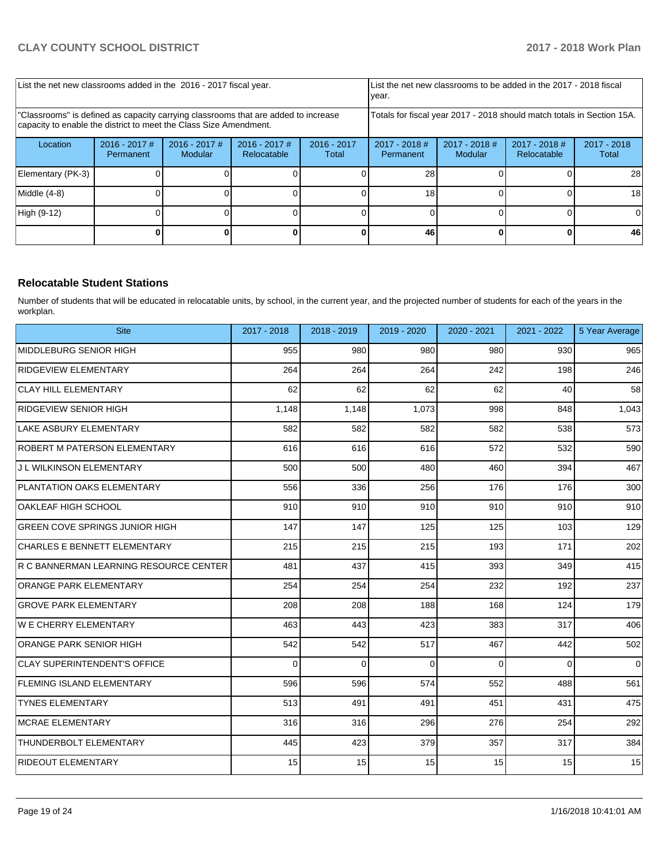| List the net new classrooms added in the 2016 - 2017 fiscal year.                                                                                       | List the net new classrooms to be added in the 2017 - 2018 fiscal<br>year. |                            |                                |                        |                                                                        |                            |                                |                        |  |
|---------------------------------------------------------------------------------------------------------------------------------------------------------|----------------------------------------------------------------------------|----------------------------|--------------------------------|------------------------|------------------------------------------------------------------------|----------------------------|--------------------------------|------------------------|--|
| 'Classrooms" is defined as capacity carrying classrooms that are added to increase<br>capacity to enable the district to meet the Class Size Amendment. |                                                                            |                            |                                |                        | Totals for fiscal year 2017 - 2018 should match totals in Section 15A. |                            |                                |                        |  |
| Location                                                                                                                                                | $2016 - 2017$ #<br>Permanent                                               | $2016 - 2017$ #<br>Modular | $2016 - 2017$ #<br>Relocatable | $2016 - 2017$<br>Total | $2017 - 2018$ #<br>Permanent                                           | $2017 - 2018$ #<br>Modular | $2017 - 2018$ #<br>Relocatable | $2017 - 2018$<br>Total |  |
| Elementary (PK-3)                                                                                                                                       |                                                                            |                            |                                |                        | 28                                                                     |                            |                                | 28                     |  |
| Middle (4-8)                                                                                                                                            |                                                                            |                            |                                |                        | 18                                                                     |                            |                                | 18                     |  |
| High (9-12)                                                                                                                                             |                                                                            |                            |                                |                        |                                                                        |                            |                                | 0                      |  |
|                                                                                                                                                         |                                                                            |                            |                                |                        | 46                                                                     |                            |                                | 46                     |  |

## **Relocatable Student Stations**

Number of students that will be educated in relocatable units, by school, in the current year, and the projected number of students for each of the years in the workplan.

| <b>Site</b>                            | 2017 - 2018 | 2018 - 2019 | 2019 - 2020 | 2020 - 2021 | 2021 - 2022 | 5 Year Average |
|----------------------------------------|-------------|-------------|-------------|-------------|-------------|----------------|
| MIDDLEBURG SENIOR HIGH                 | 955         | 980         | 980         | 980         | 930         | 965            |
| <b>RIDGEVIEW ELEMENTARY</b>            | 264         | 264         | 264         | 242         | 198         | 246            |
| <b>CLAY HILL ELEMENTARY</b>            | 62          | 62          | 62          | 62          | 40          | 58             |
| <b>RIDGEVIEW SENIOR HIGH</b>           | 1,148       | 1,148       | 1,073       | 998         | 848         | 1,043          |
| LAKE ASBURY ELEMENTARY                 | 582         | 582         | 582         | 582         | 538         | 573            |
| ROBERT M PATERSON ELEMENTARY           | 616         | 616         | 616         | 572         | 532         | 590            |
| J L WILKINSON ELEMENTARY               | 500         | 500         | 480         | 460         | 394         | 467            |
| PLANTATION OAKS ELEMENTARY             | 556         | 336         | 256         | 176         | 176         | 300            |
| OAKLEAF HIGH SCHOOL                    | 910         | 910         | 910         | 910         | 910         | 910            |
| <b>GREEN COVE SPRINGS JUNIOR HIGH</b>  | 147         | 147         | 125         | 125         | 103         | 129            |
| <b>CHARLES E BENNETT ELEMENTARY</b>    | 215         | 215         | 215         | 193         | 171         | 202            |
| R C BANNERMAN LEARNING RESOURCE CENTER | 481         | 437         | 415         | 393         | 349         | 415            |
| <b>ORANGE PARK ELEMENTARY</b>          | 254         | 254         | 254         | 232         | 192         | 237            |
| <b>GROVE PARK ELEMENTARY</b>           | 208         | 208         | 188         | 168         | 124         | 179            |
| W E CHERRY ELEMENTARY                  | 463         | 443         | 423         | 383         | 317         | 406            |
| <b>ORANGE PARK SENIOR HIGH</b>         | 542         | 542         | 517         | 467         | 442         | 502            |
| <b>CLAY SUPERINTENDENT'S OFFICE</b>    | $\Omega$    | $\Omega$    | $\Omega$    | $\Omega$    | $\Omega$    | $\Omega$       |
| <b>FLEMING ISLAND ELEMENTARY</b>       | 596         | 596         | 574         | 552         | 488         | 561            |
| <b>TYNES ELEMENTARY</b>                | 513         | 491         | 491         | 451         | 431         | 475            |
| <b>MCRAE ELEMENTARY</b>                | 316         | 316         | 296         | 276         | 254         | 292            |
| <b>THUNDERBOLT ELEMENTARY</b>          | 445         | 423         | 379         | 357         | 317         | 384            |
| <b>RIDEOUT ELEMENTARY</b>              | 15          | 15          | 15          | 15          | 15          | 15             |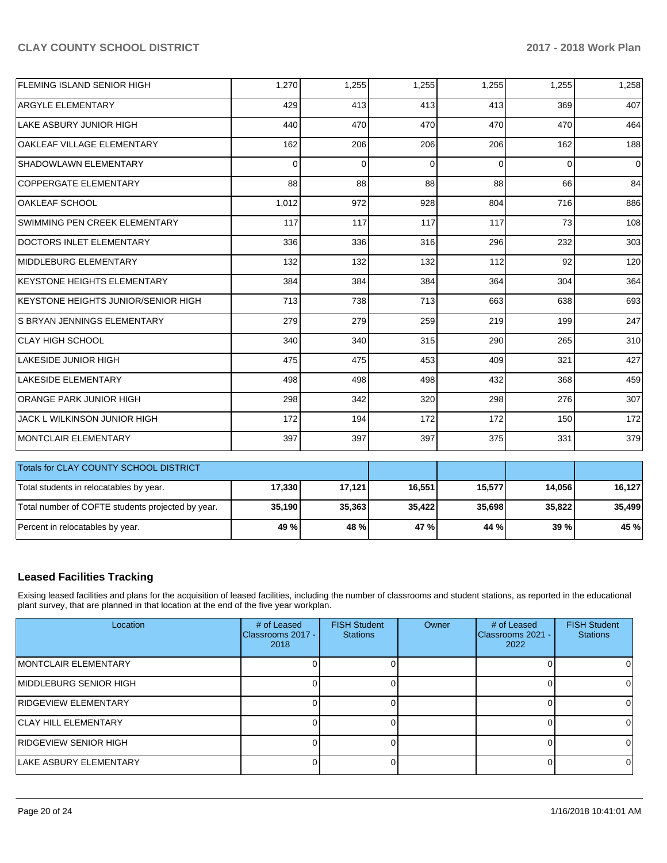| FLEMING ISLAND SENIOR HIGH                        | 1,270    | 1,255    | 1,255    | 1,255    | 1,255    | 1,258          |
|---------------------------------------------------|----------|----------|----------|----------|----------|----------------|
| <b>ARGYLE ELEMENTARY</b>                          | 429      | 413      | 413      | 413      | 369      | 407            |
| LAKE ASBURY JUNIOR HIGH                           | 440      | 470      | 470      | 470      | 470      | 464            |
| OAKLEAF VILLAGE ELEMENTARY                        | 162      | 206      | 206      | 206      | 162      | 188            |
| SHADOWLAWN ELEMENTARY                             | $\Omega$ | $\Omega$ | $\Omega$ | $\Omega$ | $\Omega$ | $\overline{0}$ |
| <b>COPPERGATE ELEMENTARY</b>                      | 88       | 88       | 88       | 88       | 66       | 84             |
| OAKLEAF SCHOOL                                    | 1,012    | 972      | 928      | 804      | 716      | 886            |
| SWIMMING PEN CREEK ELEMENTARY                     | 117      | 117      | 117      | 117      | 73       | 108            |
| DOCTORS INLET ELEMENTARY                          | 336      | 336      | 316      | 296      | 232      | 303            |
| MIDDLEBURG ELEMENTARY                             | 132      | 132      | 132      | 112      | 92       | 120            |
| <b>KEYSTONE HEIGHTS ELEMENTARY</b>                | 384      | 384      | 384      | 364      | 304      | 364            |
| KEYSTONE HEIGHTS JUNIOR/SENIOR HIGH               | 713      | 738      | 713      | 663      | 638      | 693            |
| S BRYAN JENNINGS ELEMENTARY                       | 279      | 279      | 259      | 219      | 199      | 247            |
| <b>CLAY HIGH SCHOOL</b>                           | 340      | 340      | 315      | 290      | 265      | 310            |
| <b>LAKESIDE JUNIOR HIGH</b>                       | 475      | 475      | 453      | 409      | 321      | 427            |
| LAKESIDE ELEMENTARY                               | 498      | 498      | 498      | 432      | 368      | 459            |
| ORANGE PARK JUNIOR HIGH                           | 298      | 342      | 320      | 298      | 276      | 307            |
| JACK L WILKINSON JUNIOR HIGH                      | 172      | 194      | 172      | 172      | 150      | 172            |
| MONTCLAIR ELEMENTARY                              | 397      | 397      | 397      | 375      | 331      | 379            |
| Totals for CLAY COUNTY SCHOOL DISTRICT            |          |          |          |          |          |                |
|                                                   |          |          |          |          |          |                |
| Total students in relocatables by year.           | 17,330   | 17,121   | 16,551   | 15,577   | 14,056   | 16,127         |
| Total number of COFTE students projected by year. | 35,190   | 35,363   | 35,422   | 35,698   | 35,822   | 35,499         |
| Percent in relocatables by year.                  | 49 %     | 48 %     | 47 %     | 44 %     | 39 %     | 45 %           |

# **Leased Facilities Tracking**

Exising leased facilities and plans for the acquisition of leased facilities, including the number of classrooms and student stations, as reported in the educational plant survey, that are planned in that location at the end of the five year workplan.

| Location                     | # of Leased<br>Classrooms 2017 -<br>2018 | <b>FISH Student</b><br><b>Stations</b> | Owner | # of Leased<br>Classrooms 2021 -<br>2022 | <b>FISH Student</b><br><b>Stations</b> |
|------------------------------|------------------------------------------|----------------------------------------|-------|------------------------------------------|----------------------------------------|
| <b>IMONTCLAIR ELEMENTARY</b> |                                          |                                        |       |                                          |                                        |
| IMIDDLEBURG SENIOR HIGH      |                                          |                                        |       |                                          | O.                                     |
| RIDGEVIEW ELEMENTARY         |                                          |                                        |       |                                          |                                        |
| <b>ICLAY HILL ELEMENTARY</b> |                                          |                                        |       |                                          |                                        |
| <b>RIDGEVIEW SENIOR HIGH</b> |                                          |                                        |       |                                          |                                        |
| LAKE ASBURY ELEMENTARY       |                                          |                                        |       |                                          | 0                                      |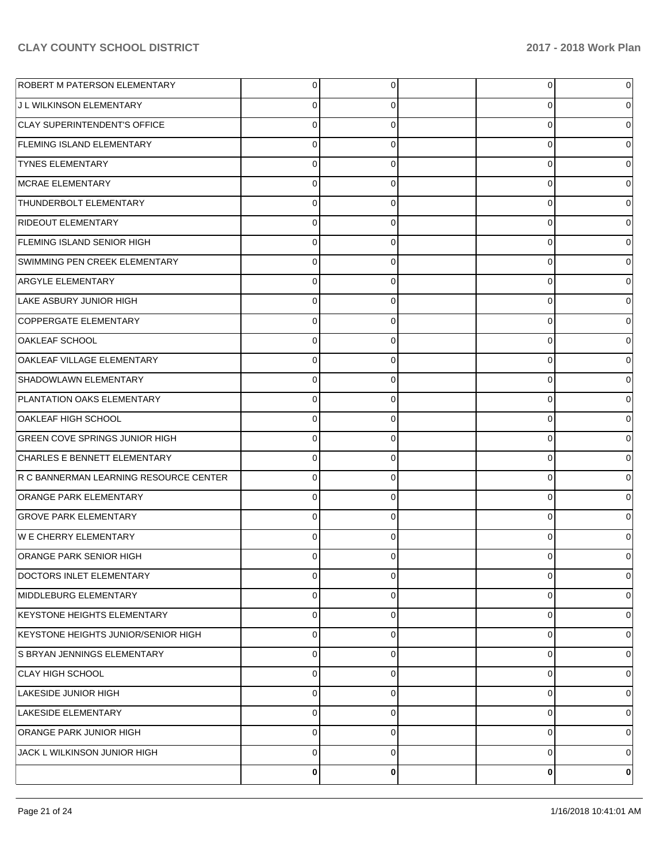| <b>ROBERT M PATERSON ELEMENTARY</b>    | $\overline{0}$ | $\overline{0}$ | 0 | 0 |
|----------------------------------------|----------------|----------------|---|---|
| J L WILKINSON ELEMENTARY               | 0              | 0              | 0 | 0 |
| CLAY SUPERINTENDENT'S OFFICE           | $\mathbf 0$    | 0              | 0 | 0 |
| <b>FLEMING ISLAND ELEMENTARY</b>       | 0              | 0              | 0 | 0 |
| <b>TYNES ELEMENTARY</b>                | $\mathbf 0$    | 0              | 0 | 0 |
| MCRAE ELEMENTARY                       | 0              | 0              | 0 | 0 |
| THUNDERBOLT ELEMENTARY                 | $\mathbf 0$    | 0              | 0 | 0 |
| <b>RIDEOUT ELEMENTARY</b>              | $\Omega$       | 0              | 0 | 0 |
| <b>FLEMING ISLAND SENIOR HIGH</b>      | $\mathbf 0$    | 0              | 0 | 0 |
| SWIMMING PEN CREEK ELEMENTARY          | 0              | 0              | 0 | 0 |
| <b>ARGYLE ELEMENTARY</b>               | 0              | 0              | 0 | 0 |
| LAKE ASBURY JUNIOR HIGH                | 0              | 0              | 0 | 0 |
| COPPERGATE ELEMENTARY                  | 0              | 0              | 0 | 0 |
| <b>OAKLEAF SCHOOL</b>                  | $\Omega$       | 0              | 0 | 0 |
| OAKLEAF VILLAGE ELEMENTARY             | 0              | 0              | 0 | 0 |
| SHADOWLAWN ELEMENTARY                  | 0              | 0              | 0 | 0 |
| PLANTATION OAKS ELEMENTARY             | 0              | 0              | 0 | 0 |
| OAKLEAF HIGH SCHOOL                    | $\Omega$       | 0              | 0 | 0 |
| <b>GREEN COVE SPRINGS JUNIOR HIGH</b>  | 0              | 0              | 0 | 0 |
| CHARLES E BENNETT ELEMENTARY           | 0              | 0              | 0 | 0 |
| R C BANNERMAN LEARNING RESOURCE CENTER | 0              | 0              | 0 | 0 |
| <b>ORANGE PARK ELEMENTARY</b>          | 0              | 0              | 0 | 0 |
| <b>GROVE PARK ELEMENTARY</b>           | 0              | 0              | 0 | 0 |
| <b>WE CHERRY ELEMENTARY</b>            | $\Omega$       | 0              | 0 | 0 |
| ORANGE PARK SENIOR HIGH                | C              | 0              | 0 |   |
| DOCTORS INLET ELEMENTARY               | $\overline{0}$ | $\overline{0}$ | 0 | 0 |
| MIDDLEBURG ELEMENTARY                  | 0              | 0              | 0 | 0 |
| KEYSTONE HEIGHTS ELEMENTARY            | 0              | $\mathbf 0$    | 0 | 0 |
| KEYSTONE HEIGHTS JUNIOR/SENIOR HIGH    | $\mathbf 0$    | 0              | 0 | 0 |
| S BRYAN JENNINGS ELEMENTARY            | 0              | 0              | 0 | 0 |
| CLAY HIGH SCHOOL                       | $\mathbf 0$    | 0              | 0 | 0 |
| LAKESIDE JUNIOR HIGH                   | 0              | 0              | 0 | 0 |
| LAKESIDE ELEMENTARY                    | 0              | 0              | 0 | 0 |
| ORANGE PARK JUNIOR HIGH                | 0              | 0              | 0 | 0 |
| JACK L WILKINSON JUNIOR HIGH           | $\mathbf 0$    | 0              | 0 | 0 |
|                                        | 0              | 0              | 0 | 0 |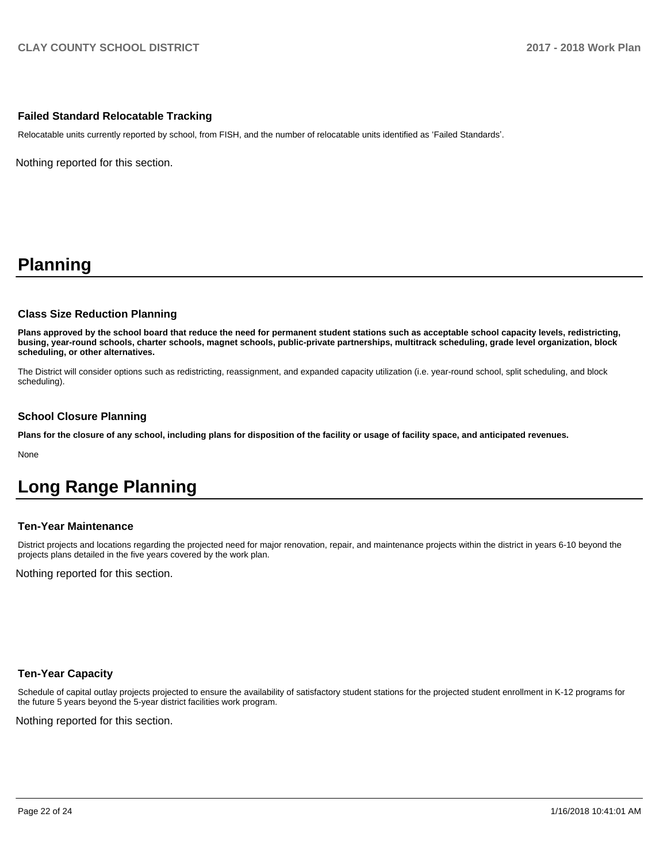## **Failed Standard Relocatable Tracking**

Relocatable units currently reported by school, from FISH, and the number of relocatable units identified as 'Failed Standards'.

Nothing reported for this section.

# **Planning**

### **Class Size Reduction Planning**

**Plans approved by the school board that reduce the need for permanent student stations such as acceptable school capacity levels, redistricting, busing, year-round schools, charter schools, magnet schools, public-private partnerships, multitrack scheduling, grade level organization, block scheduling, or other alternatives.**

The District will consider options such as redistricting, reassignment, and expanded capacity utilization (i.e. year-round school, split scheduling, and block scheduling).

### **School Closure Planning**

**Plans for the closure of any school, including plans for disposition of the facility or usage of facility space, and anticipated revenues.** 

None

# **Long Range Planning**

### **Ten-Year Maintenance**

District projects and locations regarding the projected need for major renovation, repair, and maintenance projects within the district in years 6-10 beyond the projects plans detailed in the five years covered by the work plan.

Nothing reported for this section.

### **Ten-Year Capacity**

Schedule of capital outlay projects projected to ensure the availability of satisfactory student stations for the projected student enrollment in K-12 programs for the future 5 years beyond the 5-year district facilities work program.

Nothing reported for this section.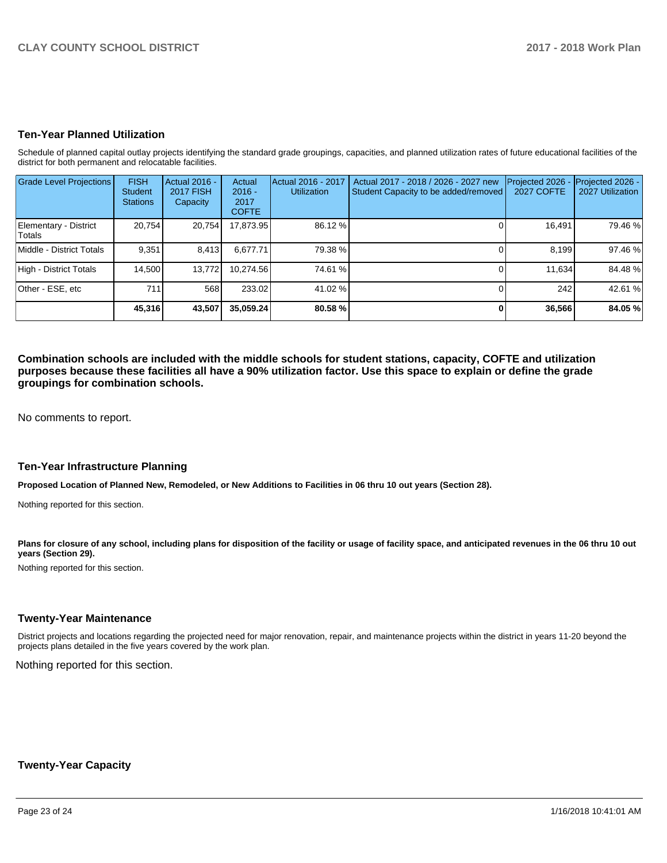## **Ten-Year Planned Utilization**

Schedule of planned capital outlay projects identifying the standard grade groupings, capacities, and planned utilization rates of future educational facilities of the district for both permanent and relocatable facilities.

| <b>Grade Level Projections</b>   | <b>FISH</b><br><b>Student</b><br><b>Stations</b> | Actual 2016 -<br><b>2017 FISH</b><br>Capacity | Actual<br>$2016 -$<br>2017<br><b>COFTE</b> | Actual 2016 - 2017<br><b>Utilization</b> | Actual 2017 - 2018 / 2026 - 2027 new<br>Student Capacity to be added/removed | Projected 2026<br><b>2027 COFTE</b> | Projected 2026 -<br>2027 Utilization |
|----------------------------------|--------------------------------------------------|-----------------------------------------------|--------------------------------------------|------------------------------------------|------------------------------------------------------------------------------|-------------------------------------|--------------------------------------|
| Elementary - District<br>lTotals | 20.754                                           | 20,754                                        | 17,873.95                                  | 86.12 %                                  |                                                                              | 16,491                              | 79.46 %                              |
| Middle - District Totals         | 9.351                                            | 8.413                                         | 6.677.71                                   | 79.38 %                                  |                                                                              | 8.199                               | 97.46 %                              |
| High - District Totals           | 14.500                                           | 13.772                                        | 10.274.56                                  | 74.61 %                                  |                                                                              | 11.634                              | 84.48%                               |
| Other - ESE, etc                 | 711                                              | 568                                           | 233.02                                     | 41.02 %                                  |                                                                              | 242                                 | 42.61 %                              |
|                                  | 45,316                                           | 43,507                                        | 35.059.24                                  | 80.58 %                                  |                                                                              | 36,566                              | 84.05 %                              |

**Combination schools are included with the middle schools for student stations, capacity, COFTE and utilization purposes because these facilities all have a 90% utilization factor. Use this space to explain or define the grade groupings for combination schools.** 

No comments to report.

#### **Ten-Year Infrastructure Planning**

**Proposed Location of Planned New, Remodeled, or New Additions to Facilities in 06 thru 10 out years (Section 28).**

Nothing reported for this section.

Plans for closure of any school, including plans for disposition of the facility or usage of facility space, and anticipated revenues in the 06 thru 10 out **years (Section 29).**

Nothing reported for this section.

#### **Twenty-Year Maintenance**

District projects and locations regarding the projected need for major renovation, repair, and maintenance projects within the district in years 11-20 beyond the projects plans detailed in the five years covered by the work plan.

Nothing reported for this section.

#### **Twenty-Year Capacity**